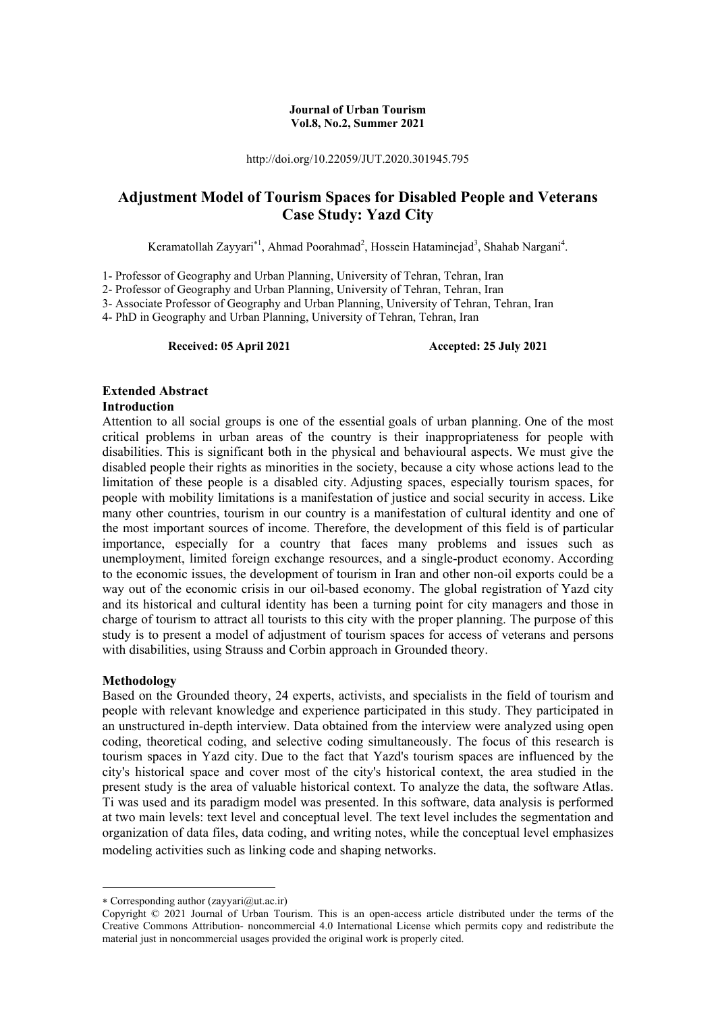#### **Journal of Urban Tourism Vol.8, No.2, Summer 2021**

http://doi.org/10.22059/JUT.2020.301945.795

# **Adjustment Model of Tourism Spaces for Disabled People and Veterans Case Study: Yazd City**

Keramatollah Zayyari<sup>\*1</sup>, Ahmad Poorahmad<sup>2</sup>, Hossein Hataminejad<sup>3</sup>, Shahab Nargani<sup>4</sup>.

1- Professor of Geography and Urban Planning, University of Tehran, Tehran, Iran

2- Professor of Geography and Urban Planning, University of Tehran, Tehran, Iran

3- Associate Professor of Geography and Urban Planning, University of Tehran, Tehran, Iran

4- PhD in Geography and Urban Planning, University of Tehran, Tehran, Iran

#### **Received: 05 April 2021 Accepted: 25 July 2021**

# **Extended Abstract**

#### **Introduction**

Attention to all social groups is one of the essential goals of urban planning. One of the most critical problems in urban areas of the country is their inappropriateness for people with disabilities. This is significant both in the physical and behavioural aspects. We must give the disabled people their rights as minorities in the society, because a city whose actions lead to the limitation of these people is a disabled city. Adjusting spaces, especially tourism spaces, for people with mobility limitations is a manifestation of justice and social security in access. Like many other countries, tourism in our country is a manifestation of cultural identity and one of the most important sources of income. Therefore, the development of this field is of particular importance, especially for a country that faces many problems and issues such as unemployment, limited foreign exchange resources, and a single-product economy. According to the economic issues, the development of tourism in Iran and other non-oil exports could be a way out of the economic crisis in our oil-based economy. The global registration of Yazd city and its historical and cultural identity has been a turning point for city managers and those in charge of tourism to attract all tourists to this city with the proper planning. The purpose of this study is to present a model of adjustment of tourism spaces for access of veterans and persons with disabilities, using Strauss and Corbin approach in Grounded theory.

#### **Methodology**

**.** 

Based on the Grounded theory, 24 experts, activists, and specialists in the field of tourism and people with relevant knowledge and experience participated in this study. They participated in an unstructured in-depth interview. Data obtained from the interview were analyzed using open coding, theoretical coding, and selective coding simultaneously. The focus of this research is tourism spaces in Yazd city. Due to the fact that Yazd's tourism spaces are influenced by the city's historical space and cover most of the city's historical context, the area studied in the present study is the area of valuable historical context. To analyze the data, the software Atlas. Ti was used and its paradigm model was presented. In this software, data analysis is performed at two main levels: text level and conceptual level. The text level includes the segmentation and organization of data files, data coding, and writing notes, while the conceptual level emphasizes modeling activities such as linking code and shaping networks.

Corresponding author (zayyari@ut.ac.ir)

Copyright © 2021 Journal of Urban Tourism. This is an open-access article distributed under the terms of the Creative Commons Attribution- noncommercial 4.0 International License which permits copy and redistribute the material just in noncommercial usages provided the original work is properly cited.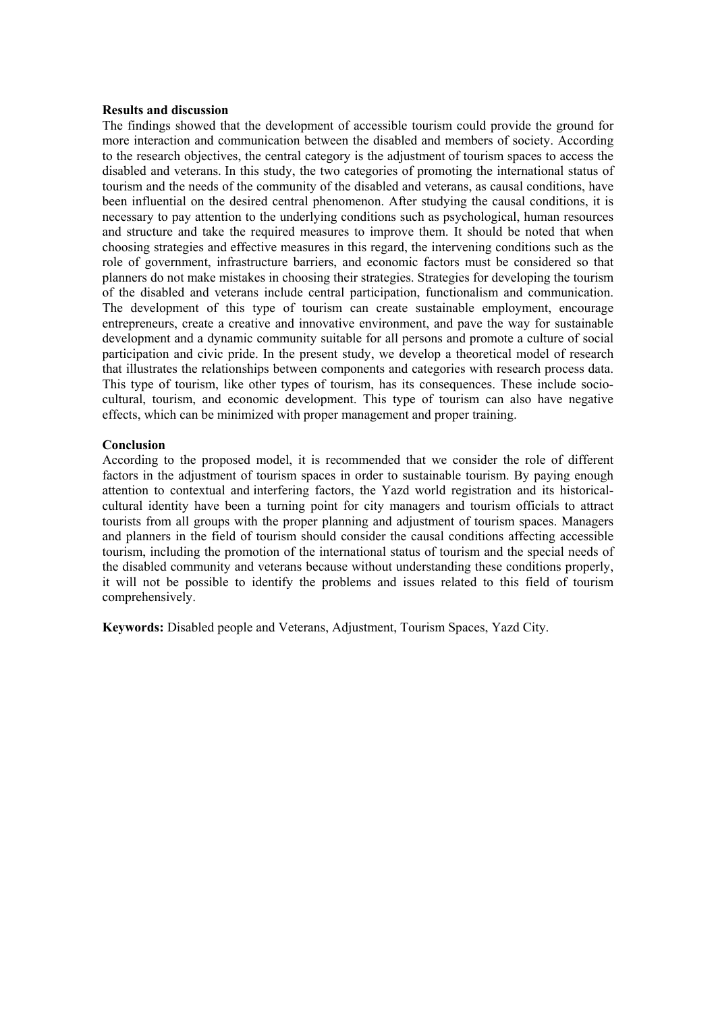#### **Results and discussion**

The findings showed that the development of accessible tourism could provide the ground for more interaction and communication between the disabled and members of society. According to the research objectives, the central category is the adjustment of tourism spaces to access the disabled and veterans. In this study, the two categories of promoting the international status of tourism and the needs of the community of the disabled and veterans, as causal conditions, have been influential on the desired central phenomenon. After studying the causal conditions, it is necessary to pay attention to the underlying conditions such as psychological, human resources and structure and take the required measures to improve them. It should be noted that when choosing strategies and effective measures in this regard, the intervening conditions such as the role of government, infrastructure barriers, and economic factors must be considered so that planners do not make mistakes in choosing their strategies. Strategies for developing the tourism of the disabled and veterans include central participation, functionalism and communication. The development of this type of tourism can create sustainable employment, encourage entrepreneurs, create a creative and innovative environment, and pave the way for sustainable development and a dynamic community suitable for all persons and promote a culture of social participation and civic pride. In the present study, we develop a theoretical model of research that illustrates the relationships between components and categories with research process data. This type of tourism, like other types of tourism, has its consequences. These include sociocultural, tourism, and economic development. This type of tourism can also have negative effects, which can be minimized with proper management and proper training.

#### **Conclusion**

According to the proposed model, it is recommended that we consider the role of different factors in the adjustment of tourism spaces in order to sustainable tourism. By paying enough attention to contextual and interfering factors, the Yazd world registration and its historicalcultural identity have been a turning point for city managers and tourism officials to attract tourists from all groups with the proper planning and adjustment of tourism spaces. Managers and planners in the field of tourism should consider the causal conditions affecting accessible tourism, including the promotion of the international status of tourism and the special needs of the disabled community and veterans because without understanding these conditions properly, it will not be possible to identify the problems and issues related to this field of tourism comprehensively.

**Keywords:** Disabled people and Veterans, Adjustment, Tourism Spaces, Yazd City.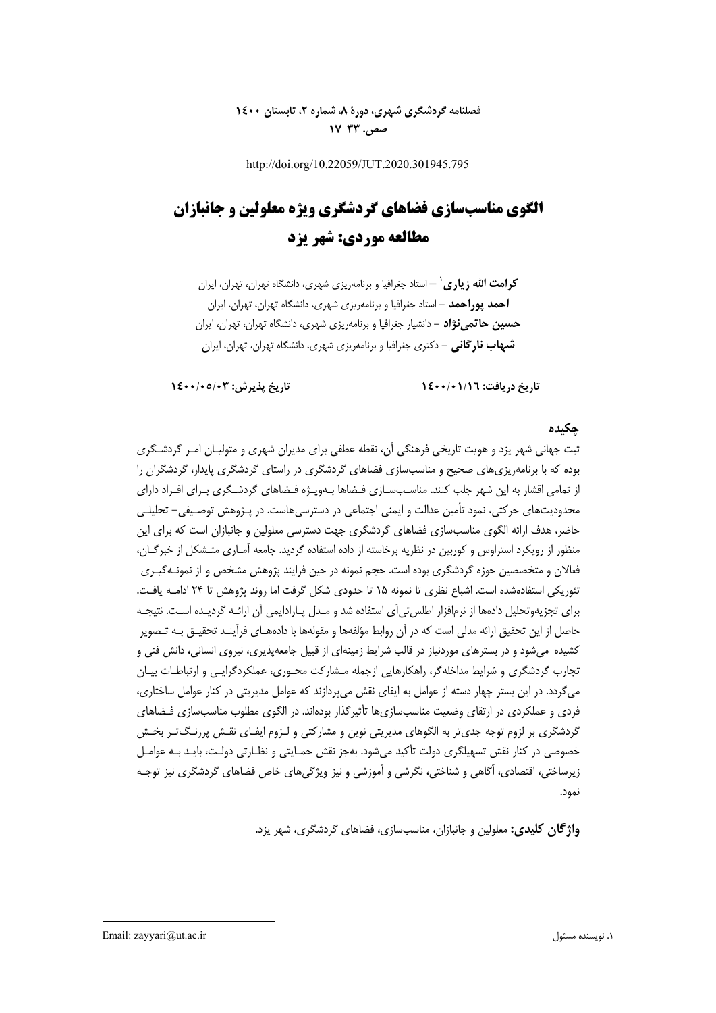# **فصلنامه گردشگري شهري، دورة ،8 شماره ،2 تابستان 1400 صص. 17-33**

http://doi.org/10.22059/JUT.2020.301945.795

# **الگوي مناسبسازي فضاهاي گردشگري ويژه معلولين و جانبازان مطالعه موردي: شهر يزد**

**–** استاد جغرافيا و برنامهريزي شهري، دانشگاه تهران، تهران، ايران<sup>1</sup> **كرامت االله زياري احمد پوراحمد -** استاد جغرافيا و برنامهريزي شهري، دانشگاه تهران، تهران، ايران **حسين حاتمينژاد -** دانشيار جغرافيا و برنامهريزي شهري، دانشگاه تهران، تهران، ايران **شهاب نارگاني -** دكتري جغرافيا و برنامهريزي شهري، دانشگاه تهران، تهران، ايران

 **تاريخ دريافت: 1400/01/16 تاريخ پذيرش: 1400/05/03**

#### **چكيده**

ثبت جهاني شهر يزد و هويت تاريخي فرهنگي آن، نقطه عطفي براي مديران شهري و متوليـان امـر گردشـگري بوده كه با برنامهريزيهاي صحيح و مناسبسازي فضاهاي گردشگري در راستاي گردشگري پايدار، گردشگران را از تمامي اقشار به اين شهر جلب كنند. مناسـبسـازي فـضاها بـهويـژه فـضاهاي گردشـگري بـراي افـراد داراي محدوديتهاي حركتي، نمود تأمين عدالت و ايمني اجتماعي در دسترسيهاست. در پـژوهش توصـيفي- تحليلـي حاضر، هدف ارائه الگوي مناسبسازي فضاهاي گردشگري جهت دسترسي معلولين و جانبازان است كه براي اين منظور از رويكرد استراوس و كوربين در نظريه برخاسته از داده استفاده گرديد. جامعه آمـاري متـشكل از خبرگـان، فعالان و متخصصين حوزه گردشگري بوده است. حجم نمونه در حين فرايند پژوهش مشخص و از نمونـهگيـري تئوريكي استفادهشده است. اشباع نظري تا نمونه 15 تا حدودي شكل گرفت اما روند پژوهش تا 24 ادامـه يافـت. براي تجزيهوتحليل دادهها از نرمافزار اطلستيآي استفاده شد و مـدل پـارادايمي آن ارائـه گرديـده اسـت. نتيجـه حاصل از اين تحقيق ارائه مدلي است كه در آن روابط مؤلفهها و مقولهها با دادههـاي فرآينـد تحقيـق بـه تـصوير كشيده ميشود و در بسترهاي موردنياز در قالب شرايط زمينهاي از قبيل جامعهپذيري، نيروي انساني، دانش فني و تجارب گردشگري و شرايط مداخلهگر، راهكارهايي ازجمله مـشاركت محـوري، عملكردگرايـي و ارتباطـات بيـان ميگردد. در اين بستر چهار دسته از عوامل به ايفاي نقش ميپردازند كه عوامل مديريتي در كنار عوامل ساختاري، فردي و عملكردي در ارتقاي وضعيت مناسبسازيها تأثيرگذار بودهاند. در الگوي مطلوب مناسبسازي فـضاهاي گردشگري بر لزوم توجه جدي تر به الگوهاي مديريتي نوين و مشاركتي و لـزوم ايفـاي نقـش پررنـگ<code>تـر بخـش</code> خصوصي در كنار نقش تسهيلگري دولت تأكيد ميشود. بهجز نقش حمـايتي و نظـارتي دولـت، بايـد بـه عوامـل زيرساختي، اقتصادي، آگاهي و شناختي، نگرشي و آموزشي و نيز ويژگيهاي خاص فضاهاي گردشگري نيز توجـه نمود.

**واژگان كليدي:** معلولين و جانبازان، مناسبسازي، فضاهاي گردشگري، شهر يزد.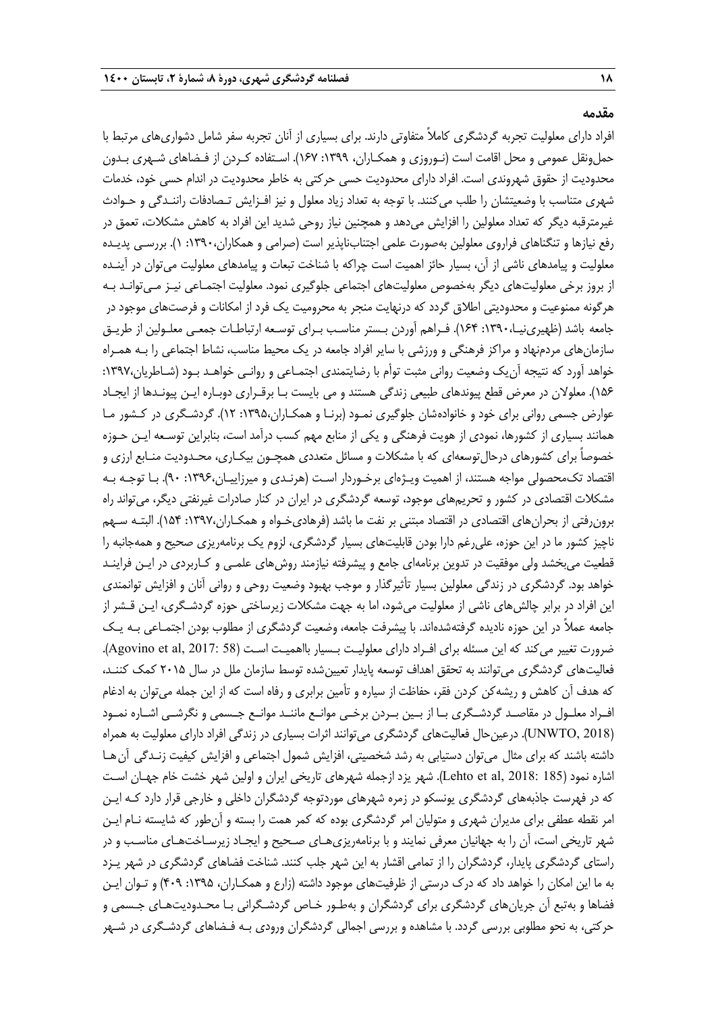**مقدمه** 

افراد داراي معلوليت تجربه گردشگري كاملاً متفاوتي دارند. براي بسياري از آنان تجربه سفر شامل دشواريهاي مرتبط با حمل ونقل عمومي و محل اقامت است (نـوروزي و همكـاران، ١٣٩٩: ١۶٧). اسـتفاده كـردن از فـضاهاي شـهري بـدون محدوديت از حقوق شهروندي است. افراد داراي محدوديت حسي حركتي به خاطر محدوديت در اندام حسي خود، خدمات شهري متناسب با وضعيتشان را طلب ميكنند. با توجه به تعداد زياد معلول و نيز افـزايش تـصادفات راننـدگي و حـوادث غيرمترقبه ديگر كه تعداد معلولين را افزايش ميدهد و همچنين نياز روحي شديد اين افراد به كاهش مشكلات، تعمق در رفع نيازها و تنگناهاي فراروي معلولين بهصورت علمي اجتنابناپذير است (صرامي و همكاران:1390، 1). بررسـي پديـده معلوليت و پيامدهاي ناشي از آن، بسيار حائز اهميت است چراكه با شناخت تبعات و پيامدهاي معلوليت مي توان در آينـده از بروز برخي معلوليتهاي ديگر بهخصوص معلوليتهاي اجتماعي جلوگيري نمود. معلوليت اجتمـاعي نيـز مـيتوانـد بـه هرگونه ممنوعيت و محدوديتي اطلاق گردد كه درنهايت منجر به محروميت يك فرد از امكانات و فرصتهاي موجود در جامعه باشد (ظهيرينيـا:1390، 164). فـراهم آوردن بـستر مناسـب بـراي توسـعه ارتباطـات جمعـي معلـولين از طريـق سازمانهاي مردمنهاد و مراكز فرهنگي و ورزشي با ساير افراد جامعه در يك محيط مناسب، نشاط اجتماعي را بـه همـراه خواهد آورد كه نتيجه آنيك وضعيت رواني مثبت توأم با رضايتمندي اجتمـاعي و روانـي خواهـد بـود (شـاطريان:1397، 156). معلولان در معرض قطع پيوندهاي طبيعي زندگي هستند و مي بايست بـا برقـراري دوبـاره ايـن پيونـدها از ايجـاد عوارض جسمي رواني براي خود و خانوادهشان جلوگيري نمـود (برنـا و همكـاران:1395، 12). گردشـگري در كـشور مـا همانند بسياري از كشورها، نمودي از هويت فرهنگي و يكي از منابع مهم كسب درآمد است، بنابراين توسـعه ايـن حـوزه خصوصاً براي كشورهاي درحالتوسعهاي كه با مشكلات و مسائل متعددي همچـون بيكـاري، محـدوديت منـابع ارزي و اقتصاد تكمحصولي مواجه هستند، از اهميت ويـژهاي برخـوردار اسـت (هرنـدي و ميرزاييـان:1396، 90). بـا توجـه بـه مشكلات اقتصادي در كشور و تحريمهاي موجود، توسعه گردشگري در ايران در كنار صادرات غيرنفتي ديگر، ميتواند راه برونرفتي از بحرانهاي اقتصادي در اقتصاد مبتني بر نفت ما باشد (فرهاديخـواه و همكـاران:1397، 154). البتـه سـهم ناچيز كشور ما در اين حوزه، عليرغم دارا بودن قابليتهاي بسيار گردشگري، لزوم يك برنامهريزي صحيح و همهجانبه را قطعيت ميبخشد ولي موفقيت در تدوين برنامهاي جامع و پيشرفته نيازمند روشهاي علمـي و كـاربردي در ايـن فراينـد خواهد بود. گردشگري در زندگي معلولين بسيار تأثيرگذار و موجب بهبود وضعيت روحي و رواني آنان و افزايش توانمندي اين افراد در برابر چالشهاي ناشي از معلوليت ميشود، اما به جهت مشكلات زيرساختي حوزه گردشـگري، ايـن قـشر از جامعه عملاً در اين حوزه ناديده گرفتهشدهاند. با پيشرفت جامعه، وضعيت گردشگري از مطلوب بودن اجتمـاعي بـه يـك ضرورت تغيير مي كند كه اين مسئله براي افـراد داراي معلوليـت بـسيار بااهميـت اسـت (58 .Agovino et al, 2017: 58). فعاليتهاي گردشگري ميتوانند به تحقق اهداف توسعه پايدار تعيينشده توسط سازمان ملل در سال 2015 كمك كننـد، كه هدف آن كاهش و ريشهكن كردن فقر، حفاظت از سياره و تأمين برابري و رفاه است كه از اين جمله ميتوان به ادغام افــراد معلــول در مقاصــد گردشــگري بــا از بــين بــردن برخــي موانــع ماننــد موانــع جــسمي و نگرشــي اشــاره نمــود (2018 ,UNWTO(. درعينحال فعاليتهاي گردشگري ميتوانند اثرات بسياري در زندگي افراد داراي معلوليت به همراه داشته باشند كه براي مثال ميتوان دستيابي به رشد شخصيتي، افزايش شمول اجتماعي و افزايش كيفيت زنـدگي آنهـا اشاره نمود (Lehto et al, 2018: 185). شهر يزد ازجمله شهرهاي تاريخي ايران و اولين شهر خشت خام جهـان اسـت كه در فهرست جاذبههاي گردشگري يونسكو در زمره شهرهاي موردتوجه گردشگران داخلي و خارجي قرار دارد كـه ايـن امر نقطه عطفي براي مديران شهري و متوليان امر گردشگري بوده كه كمر همت را بسته و آن طور كه شايسته نـام ايـن شهر تاريخي است، آن را به جهانيان معرفي نمايند و با برنامهريزي هـاي صـحيح و ايجـاد زيرسـاختهـاي مناسـب و در راستاي گردشگري پايدار، گردشگران را از تمامي اقشار به اين شهر جلب كنند. شناخت فضاهاي گردشگري در شهر يـزد به ما اين امكان را خواهد داد كه درك درستي از ظرفيت هاي موجود داشته (زارع و همكـاران، :1395 409) و تـوان ايـن فضاها و بهتبع آن جريانهاي گردشگري براي گردشگران و بهطـور خـاص گردشـگراني بـا محـدود يتهـاي جـسمي و حركتي، به نحو مطلوبي بررسي گردد. با مشاهده و بررسي اجمالي گردشگران ورودي بـه فـضاهاي گردشـگري در شـهر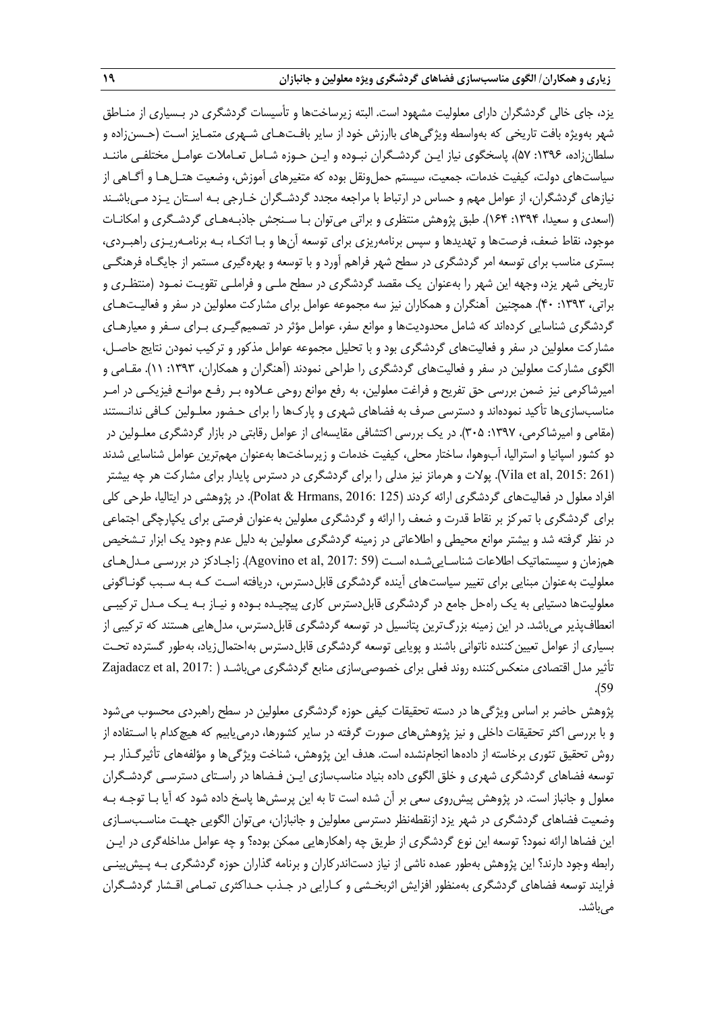يزد، جاي خالي گردشگران داراي معلوليت مشهود است. البته زيرساختها و تأسيسات گردشگري در بـسياري از منـاطق شهر بهويژه بافت تاريخي كه بهواسطه ويژگيهاي باارزش خود از ساير بافـتهـاي شـهري متمـايز اسـت (حـسنزاده و سلطانزاده، ۱۳۹۶: ۵۷)، پاسخگوي نياز ايـن گردشـگران نبـوده و ايـن حـوزه شـامل تعـاملات عوامـل مختلفـي ماننـد سياستهاي دولت، كيفيت خدمات، جمعيت، سيستم حملونقل بوده كه متغيرهاي آموزش، وضعيت هتـلهـا و آگـاهي از نيازهاي گردشگران، از عوامل مهم و حساس در ارتباط با مراجعه مجدد گردشـگران خـارجي بـه اسـتان يـزد مـيباشـند (اسعدي و سعيدا، :1394 164). طبق پژوهش منتظري و براتي ميتوان بـا سـنجش جاذبـههـاي گردشـگري و امكانـات موجود، نقاط ضعف، فرصتها و تهديدها و سپس برنامهريزي براي توسعه آنها و بـا اتكـاء بـه برنامـه ريـزي راهبـردي، بستري مناسب براي توسعه امر گردشگري در سطح شهر فراهم آورد و با توسعه و بهره گيري مستمر از جايگـاه فرهنگـي تاريخي شهر يزد، وجهه اين شهر را بهعنوان يك مقصد گردشگري در سطح ملـي و فراملـي تقويـت نمـود (منتظـري و براتي، :1393 40). همچنين آهنگران و همكاران نيز سه مجموعه عوامل براي مشاركت معلولين در سفر و فعاليـتهـاي گردشگري شناسايي كردهاند كه شامل محدوديتها و موانع سفر، عوامل مؤثر در تصميمگيـري بـراي سـفر و معيارهـاي مشاركت معلولين در سفر و فعاليتهاي گردشگري بود و با تحليل مجموعه عوامل مذكور و تركيب نمودن نتايج حاصـل، الگوي مشاركت معلولين در سفر و فعاليتهاي گردشگري را طراحي نمودند (آهنگران و همكاران، :1393 11). مقـامي و اميرشاكرمي نيز ضمن بررسي حق تفريح و فراغت معلولين، به رفع موانع روحي عـلاوه بـر رفـع موانـع فيزيكـي در امـر مناسبسازيها تأكيد نمودهاند و دسترسي صرف به فضاهاي شهري و پاركها را براي حـضور معلـولين كـافي ندانـستند (مقامي و اميرشاكرمي، :1397 305). در يك بررسي اكتشافي مقايسهاي از عوامل رقابتي در بازار گردشگري معلـولين در دو كشور اسپانيا و استراليا، آبوهوا، ساختار محلي، كيفيت خدمات و زيرساختها بهعنوان مهمترين عوامل شناسايي شدند (261 2015: ,al et Vila(. پولات و هرمانز نيز مدلي را براي گردشگري در دسترس پايدار براي مشاركت هر چه بيشتر افراد معلول در فعاليتهاي گردشگري ارائه كردند (125 2016: ,Hrmans & Polat(. در پژوهشي در ايتاليا، طرحي كلي براي گردشگري با تمركز بر نقاط قدرت و ضعف را ارائه و گردشگري معلولين بهعنوان فرصتي براي يكپارچگي اجتماعي در نظر گرفته شد و بيشتر موانع محيطي و اطلاعاتي در زمينه گردشگري معلولين به دليل عدم وجود يك ابزار تـشخيص همزمان و سيستماتيك اطلاعات شناسـايي شـده اسـت (59 :Agovino et al, 2017). زاجـادكز در بررسـي مـدلهـاي معلوليت بهعنوان مبنايي براي تغيير سياستهاي آينده گردشگري قابلدسترس، دريافته اسـت كـه بـه سـبب گونـاگوني معلوليتها دستيابي به يك راهحل جامع در گردشگري قابلدسترس كاري پيچيـده بـوده و نيـاز بـه يـك مـدل تركيبـي انعطافپذير مي باشد. در اين زمينه بزرگترين پتانسيل در توسعه گردشگري قابل دسترس، مدل هايي هستند كه تركيبي از بسياري از عوامل تعيين كننده ناتواني باشند و پويايي توسعه گردشگري قابلدسترس بهاحتمالزياد، بهطور گسترده تحـت تأثير مدل اقتصادي منعكس كننده روند فعلي براي خصوصي سازي منابع گردشگري مي باشـد ( .Zajadacz et al, 2017 .(59

پژوهش حاضر بر اساس ويژگيها در دسته تحقيقات كيفي حوزه گردشگري معلولين در سطح راهبردي محسوب ميشود و با بررسي اكثر تحقيقات داخلي و نيز پژوهشهاي صورت گرفته در ساير كشورها، درمييابيم كه هيچكدام با اسـتفاده از روش تحقيق تئوري برخاسته از دادهها انجامنشده است. هدف اين پژوهش، شناخت ويژگيها و مؤلفههاي تأثيرگـذار بـر توسعه فضاهاي گردشگري شهري و خلق الگوي داده بنياد مناسبسازي ايـن فـضاها در راسـتاي دسترسـي گردشـگران معلول و جانباز است. در پژوهش پيشروي سعي بر آن شده است تا به اين پرسش ها پاسخ داده شود كه آيا بـا توجـه بـه وضعيت فضاهاي گردشگري در شهر يزد ازنقطهنظر دسترسي معلولين و جانبازان، ميتوان الگويي جهـت مناسـبسـازي اين فضاها ارائه نمود؟ توسعه اين نوع گردشگري از طريق چه راهكارهايي ممكن بوده؟ و چه عوامل مداخلهگري در ايـن رابطه وجود دارند؟ اين پژوهش بهطور عمده ناشي از نياز دستاندركاران و برنامه گذاران حوزه گردشگري بـه پـيشبينـي فرايند توسعه فضاهاي گردشگري بهمنظور افزايش اثربخـشي و كـارايي در جـذب حـداكثري تمـامي اقـشار گردشـگران مے ،باشد.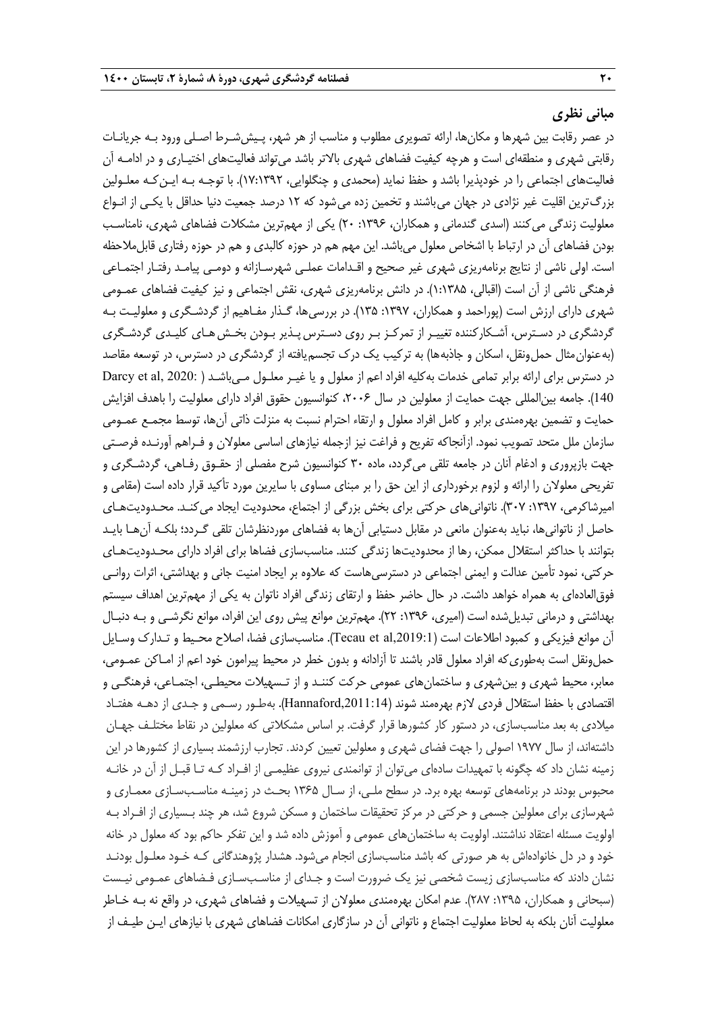#### **مباني نظري**

در عصر رقابت بين شهرها و مكانها، ارائه تصويري مطلوب و مناسب از هر شهر، پـيششـرط اصـلي ورود بـه جريانـات رقابتي شهري و منطقهاي است و هرچه كيفيت فضاهاي شهري بالاتر باشد ميتواند فعاليتهاي اختيـاري و در ادامـه آن فعاليتهاي اجتماعي را در خودپذيرا باشد و حفظ نمايد (محمدي و چنگلوايي، 17:1392). با توجـه بـه ايـنكـه معلـولين بزرگترين اقليت غير نژادي در جهان ميباشند و تخمين زده ميشود كه 12 درصد جمعيت دنيا حداقل با يكـي از انـواع معلوليت زندگي ميكنند (اسدي گندماني و همكاران، :1396 20) يكي از مهمترين مشكلات فضاهاي شهري، نامناسـب بودن فضاهاي آن در ارتباط با اشخاص معلول ميباشد. اين مهم هم در حوزه كالبدي و هم در حوزه رفتاري قابلملاحظه است. اولي ناشي از نتايج برنامهريزي شهري غير صحيح و اقـدامات عملـي شهرسـازانه و دومـي پيامـد رفتـار اجتمـاعي فرهنگي ناشي از آن است (اقبالي، 1:1385). در دانش برنامهريزي شهري، نقش اجتماعي و نيز كيفيت فضاهاي عمـومي شهري داراي ارزش است (پوراحمد و همكاران، :1397 135). در بررسيها، گـذار مفـاهيم از گردشـگري و معلوليـت بـه گردشگري در دسـترس، آشـكاركننده تغييـر از تمركـز بـر روي دسـترسپـذير بـودن بخـشهـاي كليـدي گردشـگري (بهعنوانمثال حملونقل، اسكان و جاذبهها) به تركيب يك درك تجسميافته از گردشگري در دسترس، در توسعه مقاصد در دسترس براي ارائه برابر تمامي خدمات بهكليه افراد اعم از معلول و يا غيـر معلـول مـيباشـد ( :Darcy et al, 2020 140). جامعه بينالمللي جهت حمايت از معلولين در سال ٢٠٠۶، كنوانسيون حقوق افراد داراي معلوليت را باهدف افزايش حمايت و تضمين بهرهمندي برابر و كامل افراد معلول و ارتقاء احترام نسبت به منزلت ذاتي آن ها، توسط مجمـع عمـومي سازمان ملل متحد تصويب نمود. ازآنجاكه تفريح و فراغت نيز ازجمله نيازهاي اساسي معلولان و فـراهم آورنـده فرصـتي جهت بازپروري و ادغام آنان در جامعه تلقي ميگردد، ماده 30 كنوانسيون شرح مفصلي از حقـوق رفـاهي، گردشـگري و تفريحي معلولان را ارائه و لزوم برخورداري از اين حق را بر مبناي مساوي با سايرين مورد تأكيد قرار داده است (مقامي و اميرشاكرمي، :1397 307). ناتوانيهاي حركتي براي بخش بزرگي از اجتماع، محدوديت ايجاد مي كنـد. محـدوديتهـاي حاصل از ناتوانيها، نبايد بهعنوان مانعي در مقابل دستيابي آنها به فضاهاي موردنظرشان تلقي گـردد؛ بلكـه آنهـا بايـد بتوانند با حداكثر استقلال ممكن، رها از محدوديتها زندگي كنند. مناسبسازي فضاها براي افراد داراي محـدوديتهـاي حركتي، نمود تأمين عدالت و ايمني اجتماعي در دسترسي هاست كه علاوه بر ايجاد امنيت جاني و بهداشتي، اثرات روانـي فوقالعادهاي به همراه خواهد داشت. در حال حاضر حفظ و ارتقاي زندگي افراد ناتوان به يكي از مهم ترين اهداف سيستم بهداشتي و درماني تبديلشده است (اميري، :1396 22). مهمترين موانع پيش روي اين افراد، موانع نگرشـي و بـه دنبـال آن موانع فيزيكي و كمبود اطلاعات است (Tecau et al,2019:1). مناسبسازي فضا، اصلاح محـيط و تـدارك وسـايل حملونقل است بهطوريكه افراد معلول قادر باشند تا آزادانه و بدون خطر در محيط پيرامون خود اعم از امـاكن عمـومي، معابر، محيط شهري و بينشهري و ساختمانهاي عمومي حركت كننـد و از تـسهيلات محيطـي، اجتمـاعي، فرهنگـي و اقتصادي با حفظ استقلال فردي لازم بهرهمند شوند (,2011:14Hannaford(. بهطـور رسـمي و جـدي از دهـه هفتـاد ميلادي به بعد مناسبسازي، در دستور كار كشورها قرار گرفت. بر اساس مشكلاتي كه معلولين در نقاط مختلـف جهـان داشتهاند، از سال 1977 اصولي را جهت فضاي شهري و معلولين تعيين كردند. تجارب ارزشمند بسياري از كشورها در اين زمينه نشان داد كه چگونه با تمهيدات سادهاي ميتوان از توانمندي نيروي عظيمـي از افـراد كـه تـا قبـل از آن در خانـه محبوس بودند در برنامههاي توسعه بهره برد. در سطح ملـي، از سـال 1365 بحـث در زمينـه مناسـبسـازي معمـاري و شهرسازي براي معلولين جسمي و حركتي در مركز تحقيقات ساختمان و مسكن شروع شد، هر چند بـسياري از افـراد بـه اولويت مسئله اعتقاد نداشتند. اولويت به ساختمانهاي عمومي و آموزش داده شد و اين تفكر حاكم بود كه معلول در خانه خود و در دل خانوادهاش به هر صورتي كه باشد مناسبسازي انجام ميشود. هشدار پژوهندگاني كـه خـود معلـول بودنـد نشان دادند كه مناسبسازي زيست شخصي نيز يك ضرورت است و جـداي از مناسـبسـازي فـضاهاي عمـومي نيـست (سبحاني و همكاران، :1395 287). عدم امكان بهرهمندي معلولان از تسهيلات و فضاهاي شهري، در واقع نه بـه خـاطر معلوليت آنان بلكه به لحاظ معلوليت اجتماع و ناتواني آن در سازگاري امكانات فضاهاي شهري با نيازهاي ايـن طيـف از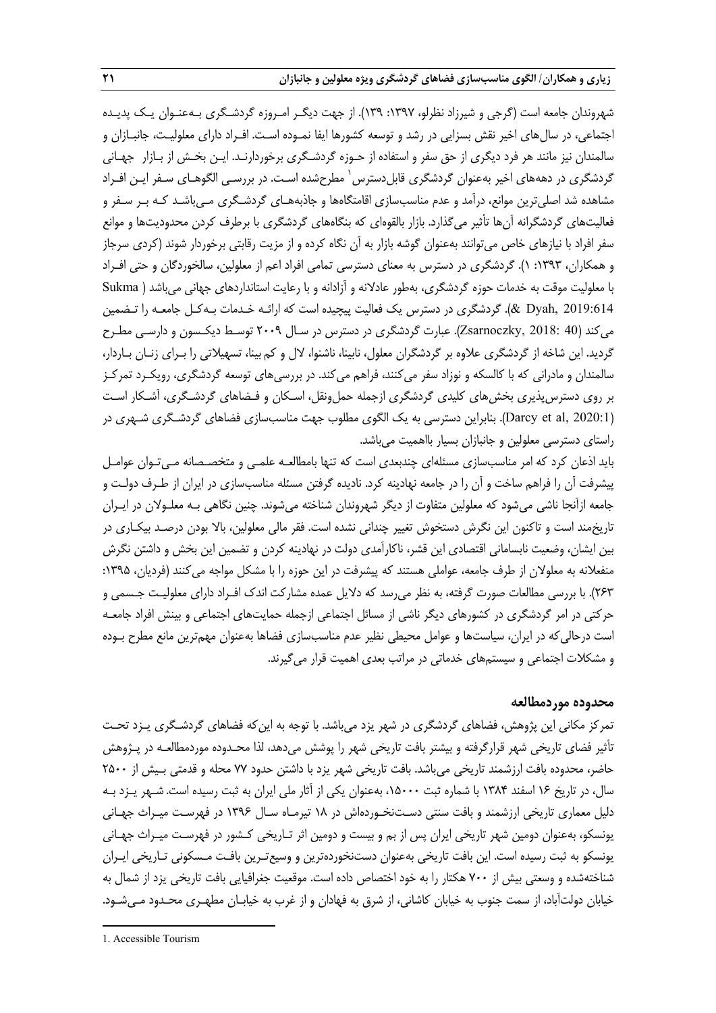شهروندان جامعه است (گرجي و شيرزاد نظرلو، :1397 139). از جهت ديگـر امـروزه گردشـگري بـهعنـوان يـك پديـده اجتماعي، در سالهاي اخير نقش بسزايي در رشد و توسعه كشورها ايفا نمـوده اسـت . افـراد داراي معلوليـت، جانبـازان و سالمندان نيز مانند هر فرد ديگري از حق سفر و استفاده از حـوزه گردشـگري برخوردارنـد. ايـن بخـش از بـازار جهـاني گردشگری در دهههای اخير بهعنوان گردشگری قابل دسترس <sup>۱</sup> مطرحشده اسـت. در بررسـي الگوهـاي سـفر ايـن افـراد مشاهده شد اصليترين موانع، درآمد و عدم مناسبسازي اقامتگاهها و جاذبههـاي گردشـگري مـيباشـد كـه بـر سـفر و فعاليتهاي گردشگرانه آنها تأثير ميگذارد. بازار بالقوهاي كه بنگاههاي گردشگري با برطرف كردن محدوديتها و موانع سفر افراد با نيازهاي خاص ميتوانند بهعنوان گوشه بازار به آن نگاه كرده و از مزيت رقابتي برخوردار شوند (كردي سرجاز و همكاران، :1393 1). گردشگري در دسترس به معناي دسترسي تمامي افراد اعم از معلولين، سالخوردگان و حتي افـراد با معلوليت موقت به خدمات حوزه گردشگري، بهطور عادلانه و آزادانه و با رعايت استانداردهاي جهاني ميباشد ( Sukma 2019:614 ,Dyah(& . گردشگري در دسترس يك فعاليت پيچيده است كه ارائـه خـدمات بـهكـل جامعـه را تـضمين ميكند (40 2018: ,Zsarnoczky(. عبارت گردشگري در دسترس در سـال 2009 توسـط ديكـسون و دارسـي مطـرح گرديد. اين شاخه از گردشگري علاوه بر گردشگران معلول، نابينا، ناشنوا، لال و كم بينا، تسهيلاتي را بـراي زنـان بـاردار، سالمندان و مادراني كه با كالسكه و نوزاد سفر مي كنند، فراهم مي كند. در بررسي هاي توسعه گردشگري، رويكـرد تمركـز بر روي دسترسپذيري بخشهاي كليدي گردشگري ازجمله حملونقل، اسـكان و فـضاهاي گردشـگري، آشـكار اسـت (Darcy et al, 2020:1). بنابراين دسترسي به يک الگوي مطلوب جهت مناسبسازي فضاهاي گردشـگري شـهري در راستاي دسترسي معلولين و جانبازان بسيار بااهميت ميباشد.

بايد اذعان كرد كه امر مناسبسازي مسئلهاي چندبعدي است كه تنها بامطالعـه علمـي و متخصـصانه مـي تـوان عوامـل پيشرفت آن را فراهم ساخت و آن را در جامعه نهادينه كرد . ناديده گرفتن مسئله مناسبسازي در ايران از طـرف دولـت و جامعه ازآنجا ناشي ميشود كه معلولين متفاوت از ديگر شهروندان شناخته ميشوند. چنين نگاهي بـه معلـولان در ايـران تاريخمند است و تاكنون اين نگرش دستخوش تغيير چنداني نشده است . فقر مالي معلولين، بالا بودن درصـد بيكـاري در بين ايشان، وضعيت نابساماني اقتصادي اين قشر، ناكارآمدي دولت در نهادينه كردن و تضمين اين بخش و داشتن نگرش منفعلانه به معلولان از طرف جامعه، عواملي هستند كه پيشرفت در اين حوزه را با مشكل مواجه مي كنند (فرديان، ١٣٩۵: 263). با بررسي مطالعات صورت گرفته، به نظر ميرسد كه دلايل عمده مشاركت اندك افـراد داراي معلوليـت جـسمي و حركتي در امر گردشگري در كشورهاي ديگر ناشي از مسائل اجتماعي ازجمله حمايتهاي اجتماعي و بينش افراد جامعـه است درحاليكه در ايران، سياستها و عوامل محيطي نظير عدم مناسبسازي فضاها بهعنوان مهمترين مانع مطرح بـوده و مشكلات اجتماعي و سيستمهاي خدماتي در مراتب بعدي اهميت قرار ميگيرند.

#### **محدوده موردمطالعه**

تمركز مكاني اين پژوهش، فضاهاي گردشگري در شهر يزد ميباشد. با توجه به اينكه فضاهاي گردشـگري يـزد تحـت تأثير فضاي تاريخي شهر قرارگرفته و بيشتر بافت تاريخي شهر را پوشش مي دهد، لذا محـدوده موردمطالعـه در پـژوهش حاضر، محدوده بافت ارزشمند تاريخي ميباشد. بافت تاريخي شهر يزد با داشتن حدود 77 محله و قدمتي بـيش از 2500 سال، در تاريخ 16 اسفند 1384 با شماره ثبت ،15000 بهعنوان يكي از آثار ملي ايران به ثبت رسيده است. شـهر يـزد بـه دليل معماري تاريخي ارزشمند و بافت سنتي دسـتنخـوردهاش در 18 تيرمـاه سـال 1396 در فهرسـت ميـراث جهـاني يونسكو، بهعنوان دومين شهر تاريخي ايران پس از بم و بيست و دومين اثر تـاريخي كـشور در فهرسـت ميـراث جهـاني يونسكو به ثبت رسيده است. اين بافت تاريخي بهعنوان دستنخوردهترين و وسيعتـرين بافـت مـسكوني تـاريخي ايـران شناختهشده و وسعتي بيش از 700 هكتار را به خود اختصاص داده است. موقعيت جغرافيايي بافت تاريخي يزد از شمال به خيابان دولتآباد، از سمت جنوب به خيابان كاشاني، از شرق به فهادان و از غرب به خيابـان مطهـري محـدود مـيشـود.

<sup>1.</sup> Accessible Tourism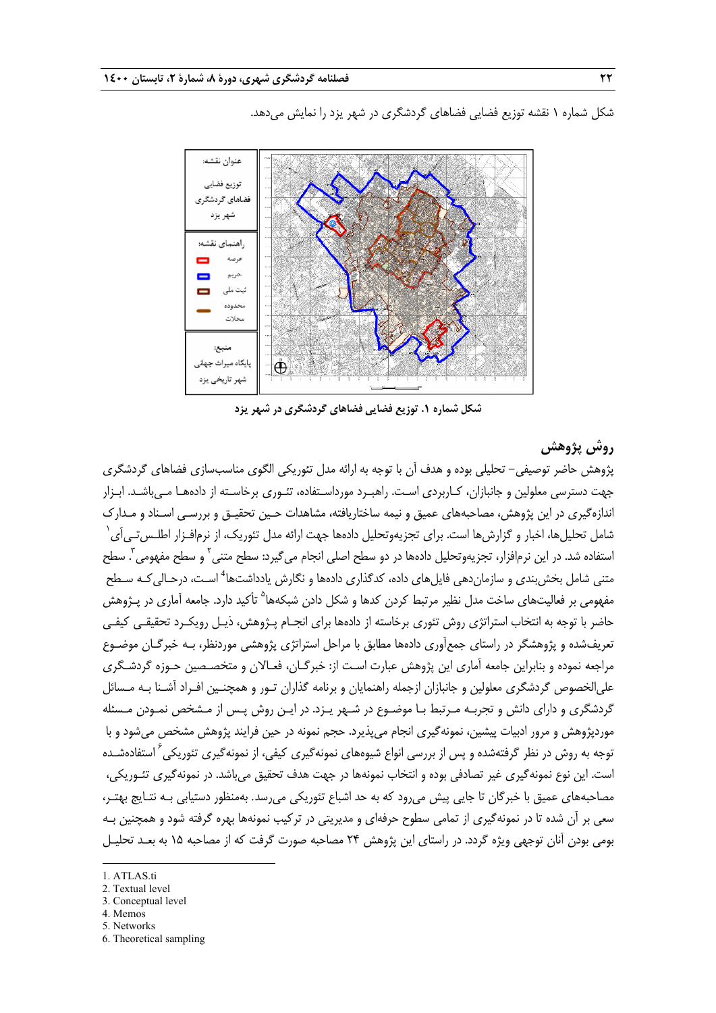

شكل شماره 1 نقشه توزيع فضايي فضاهاي گردشگري در شهر يزد را نمايش ميدهد.

**شكل شماره .1 توزيع فضايي فضاهاي گردشگري در شهر يزد**

**روش پژوهش** 

پژوهش حاضر توصيفي- تحليلي بوده و هدف آن با توجه به ارائه مدل تئوريكي الگوي مناسبسازي فضاهاي گردشگري جهت دسترسي معلولين و جانبازان، كـاربردي اسـت. راهبـرد مورداسـتفاده، تئـوري برخاسـته از دادههـا مـيباشـد. ابـزار اندازهگيري در اين پژوهش، مصاحبههاي عميق و نيمه ساختاريافته، مشاهدات حـين تحقيـق و بررسـي اسـناد و مـدارك شامل تحليلها، اخبار و گزارش@ا است. براي تجزيهوتحليل دادهها جهت ارائه مدل تئوريک، از نرمافـزار اطلـستـيآي<sup>\</sup> ُستفاده شد. در اين نرم|فزار، تجزيهوتحليل دادهها در دو سطح اصلي انجام م*ي گ*يرد: سطح متني <sup>٬</sup> و سطح مفهومي <sup>٬</sup>. سطح متني شامل بخش بندي و سازمان دهي فايل هاي داده، كدگذاري دادهها و نگارش پادداشتها<sup>4</sup> اسـت، درحـالي *ك*ـه سـطح مفهومي بر فعاليتهاي ساخت مدل نظير مرتبط كردن كدها و شكل دادن شبكهها<sup>ه</sup> تأكيد دارد. جامعه آماري در پـژوهش حاضر با توجه به انتخاب استراتژي روش تئوري برخاسته از دادهها براي انجـام پـژوهش، ذيـل رويكـرد تحقيقـي كيفـي تعريفشده و پژوهشگر در راستاي جمعآوري دادهها مطابق با مراحل استراتژي پژوهشي موردنظر، بـه خبرگـان موضـوع مراجعه نموده و بنابراين جامعه آماري اين پژوهش عبارت اسـت از : خبرگـان، فعـالان و متخصـصين حـوزه گردشـگري عليالخصوص گردشگري معلولين و جانبازان ازجمله راهنمايان و برنامه گذاران تـور و همچنـين افـراد آشـنا بـه مـسائل گردشگري و داراي دانش و تجربـه مـرتبط بـا موضـوع در شـهر يـزد . در ايـن روش پـس از مـشخص نمـودن مـسئله موردپژوهش و مرور ادبيات پيشين، نمونهگيري انجام ميپذيرد. حجم نمونه در حين فرايند پژوهش مشخص ميشود و با توجه به روش در نظر گرفتهشده و پس از بررسي انواع شيوههاي نمونهگيري كيفي، از نمونهگيري تئوريكي ِ استفادهشـده است. اين نوع نمونهگيري غير تصادفي بوده و انتخاب نمونهها در جهت هدف تحقيق ميباشد. در نمونهگيري تئـوريكي، مصاحبههاي عميق با خبرگان تا جايي پيش ميرود كه به حد اشباع تئوريكي ميرسد. بهمنظور دستيابي بـه نتـايج بهتـر، سعي بر آن شده تا در نمونهگيري از تمامي سطوح حرفهاي و مديريتي در تركيب نمونهها بهره گرفته شود و همچنين بـه بومي بودن آنان توجهي ويژه گردد. در راستاي اين پژوهش 24 مصاحبه صورت گرفت كه از مصاحبه 15 به بعـد تحليـل

- 2. Textual level
- 3. Conceptual level
- 4. Memos
- 5. Networks
- 6. Theoretical sampling

<sup>1.</sup> ATLAS.ti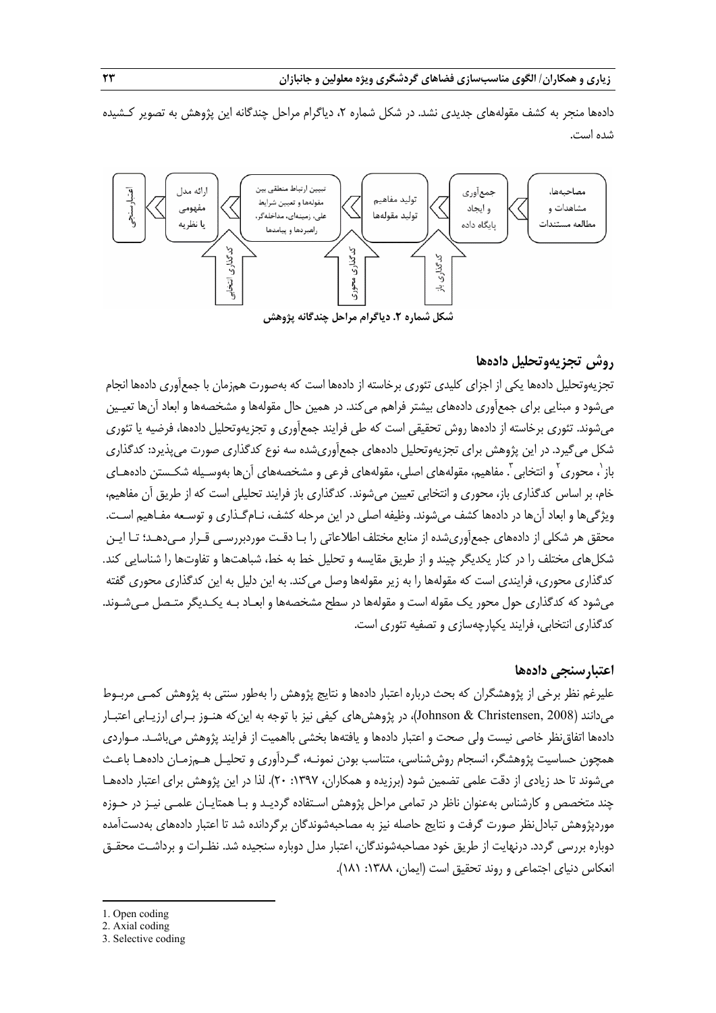دادهها منجر به كشف مقولههاي جديدي نشد. در شكل شماره ۲، دياگرام مراحل چندگانه اين پژوهش به تصوير كـشيده شده است.



## **روش تجزيهوتحليل دادهها**

تجزيهوتحليل دادهها يكي از اجزاي كليدي تئوري برخاسته از دادهها است كه بهصورت همزمان با جمعآوري دادهها انجام ميشود و مبنايي براي جمعآوري دادههاي بيشتر فراهم ميكند. در همين حال مقولهها و مشخصهها و ابعاد آنها تعيـين ميشوند. تئوري برخاسته از دادهها روش تحقيقي است كه طي فرايند جمعآوري و تجزيهوتحليل دادهها، فرضيه يا تئوري شكل ميگيرد. در اين پژوهش براي تجزيهوتحليل دادههاي جمعآوريشده سه نوع كدگذاري صورت ميپذيرد: كدگذاري باز <sup>٬</sup>، محوری <sup>٬</sup> و انتخابی ؒ . مفاهیم، مقولههای اصلی، مقولههای فرعی و مشخصههای آنها بهوسـیله شکـستن دادههـای خام، بر اساس كدگذاري باز، محوري و انتخابي تعيين ميشوند. كدگذاري باز فرايند تحليلي است كه از طريق آن مفاهيم، ويژگيها و ابعاد آنها در دادهها كشف ميشوند. وظيفه اصلي در اين مرحله كشف، نـامگـذاري و توسـعه مفـاهيم اسـت. محقق هر شكلي از دادههاي جمعآوريشده از منابع مختلف اطلاعاتي را بـا دقـت موردبررسـي قـرار مـيدهـد؛ تـا ايـن شكلهاي مختلف را در كنار يكديگر چيند و از طريق مقايسه و تحليل خط به خط، شباهتها و تفاوتها را شناسايي كند. كدگذاري محوري، فرايندي است كه مقولهها را به زير مقولهها وصل ميكند. به اين دليل به اين كدگذاري محوري گفته ميشود كه كدگذاري حول محور يك مقوله است و مقولهها در سطح مشخصهها و ابعـاد بـه يكـديگر متـصل مـيشـوند. كدگذاري انتخابي، فرايند يكپارچهسازي و تصفيه تئوري است.

## **اعتبارسنجي دادهها**

عليرغم نظر برخي از پژوهشگران كه بحث درباره اعتبار دادهها و نتايج پژوهش را بهطور سنتي به پژوهش كمـي مربـوط ميدانند (2008 ,Christensen & Johnson(، در پژوهشهاي كيفي نيز با توجه به اينكه هنـوز بـراي ارزيـابي اعتبـار دادهها اتفاقنظر خاصي نيست ولي صحت و اعتبار دادهها و يافتهها بخشي بااهميت از فرايند پژوهش ميباشـد. مـواردي همچون حساسيت پژوهشگر، انسجام روششناسي، متناسب بودن نمونـه، گـردآوري و تحليـل هـم زمـان دادههـا باعـث ميشوند تا حد زيادي از دقت علمي تضمين شود (برزيده و همكاران، :1397 20). لذا در اين پژوهش براي اعتبار دادههـا چند متخصص و كارشناس بهعنوان ناظر در تمامي مراحل پژوهش اسـتفاده گرديـد و بـا همتايـان علمـي نيـز در حـوزه موردپژوهش تبادلنظر صورت گرفت و نتايج حاصله نيز به مصاحبهشوندگان برگردانده شد تا اعتبار دادههاي بهدستآمده دوباره بررسي گردد. درنهايت از طريق خود مصاحبهشوندگان، اعتبار مدل دوباره سنجيده شد. نظـرات و برداشـت محقـق انعكاس دنياي اجتماعي و روند تحقيق است (ايمان، :1388 181).

1. Open coding

 $\overline{a}$ 

- 2. Axial coding
- 3. Selective coding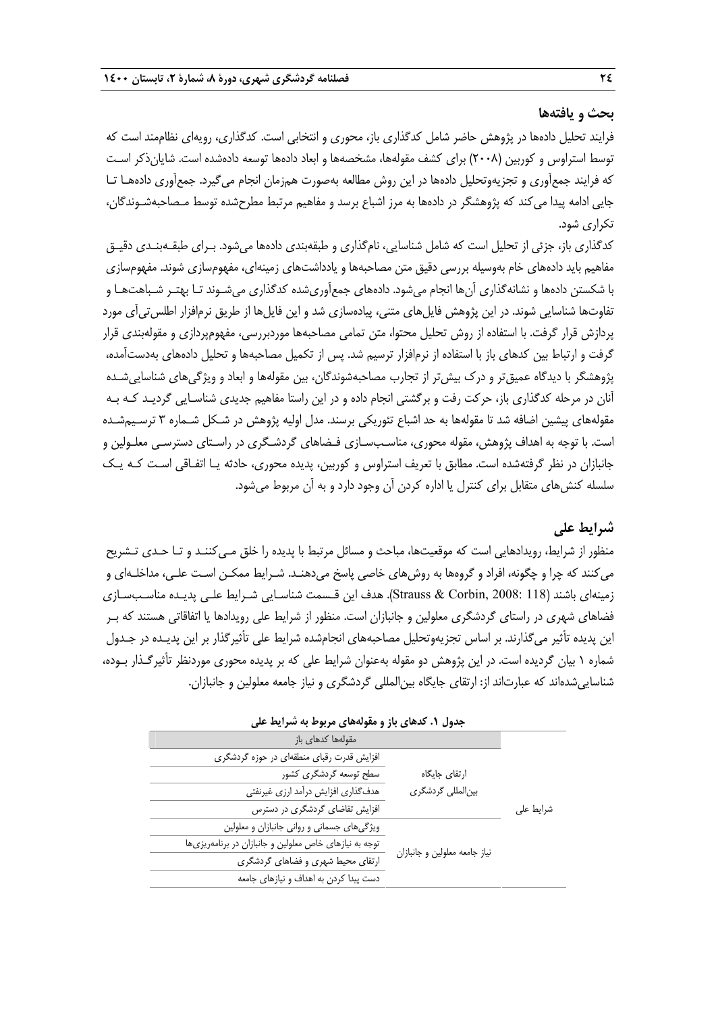#### **بحث و يافتهها**

فرايند تحليل دادهها در پژوهش حاضر شامل كدگذاري باز، محوري و انتخابي است. كدگذاري، رويهاي نظاممند است كه توسط استراوس و كوربين (2008) براي كشف مقولهها، مشخصهها و ابعاد دادهها توسعه دادهشده است. شايانذكر اسـت كه فرايند جمعآوري و تجزيهوتحليل دادهها در اين روش مطالعه بهصورت همزمان انجام ميگيرد. جمعآوري دادههـا تـا جايي ادامه پيدا ميكند كه پژوهشگر در دادهها به مرز اشباع برسد و مفاهيم مرتبط مطرحشده توسط مـصاحبهشـوندگان، تكراري شود.

كدگذاري باز، جزئي از تحليل است كه شامل شناسايي، نامگذاري و طبقهبندي دادهها ميشود. بـراي طبقـهبنـدي دقيـق مفاهيم بايد دادههاي خام بهوسيله بررسي دقيق متن مصاحبهها و يادداشتهاي زمينهاي، مفهومسازي شوند. مفهومسازي با شكستن دادهها و نشانهگذاري آنها انجام ميشود. دادههاي جمعآوريشده كدگذاري ميشـوند تـا بهتـر شـباهتهـا و تفاوتها شناسايي شوند. در اين پژوهش فايلهاي متني، پيادهسازي شد و اين فايلها از طريق نرمافزار اطلس تي آي مورد پردازش قرار گرفت. با استفاده از روش تحليل محتوا، متن تمامي مصاحبهها موردبررسي، مفهومپردازي و مقولهبندي قرار گرفت و ارتباط بين كدهاي باز با استفاده از نرمافزار ترسيم شد. پس از تكميل مصاحبهها و تحليل دادههاي بهدستآمده، پژوهشگر با ديدگاه عميقتر و درك بيشتر از تجارب مصاحبهشوندگان، بين مقولهها و ابعاد و ويژگيهاي شناساييشـده آنان در مرحله كدگذاري باز، حركت رفت و برگشتي انجام داده و در اين راستا مفاهيم جديدي شناسـايي گرديـد كـه بـه مقولههاي پيشين اضافه شد تا مقولهها به حد اشباع تئوريكي برسند. مدل اوليه پژوهش در شـكل شـماره 3 ترسـيمشـده است. با توجه به اهداف پژوهش، مقوله محوري، مناسـبسـازي فـضاهاي گردشـگري در راسـتاي دسترسـي معلـولين و جانبازان در نظر گرفتهشده است. مطابق با تعريف استراوس و كوربين، پديده محوري، حادثه يـا اتفـاقي اسـت كـه يـك سلسله كنشهاي متقابل براي كنترل يا اداره كردن آن وجود دارد و به آن مربوط ميشود.

## **شرايط علي**

منظور از شرايط، رويدادهايي است كه موقعيتها، مباحث و مسائل مرتبط با پديده را خلق مـيكننـد و تـا حـدي تـشريح ميكنند كه چرا و چگونه، افراد و گروهها به روشهاي خاصي پاسخ ميدهنـد. شـرايط ممكـن اسـت علـي، مداخلـهاي و زمينهاي باشند (118 2008: ,Corbin & Strauss(. هدف اين قـسمت شناسـايي شـرايط علـي پديـده مناسـبسـازي فضاهاي شهري در راستاي گردشگري معلولين و جانبازان است. منظور از شرايط علي رويدادها يا اتفاقاتي هستند كه بـر اين پديده تأثير ميگذارند. بر اساس تجزيهوتحليل مصاحبههاي انجامشده شرايط علي تأثيرگذار بر اين پديـده در جـدول شماره 1 بيان گرديده است. در اين پژوهش دو مقوله بهعنوان شرايط علي كه بر پديده محوري موردنظر تأثيرگـذار بـوده، شناساييشدهاند كه عبارتاند از: ارتقاي جايگاه بينالمللي گردشگري و نياز جامعه معلولين و جانبازان.

|           |                              | مقولهها كدهاى باز                                      |
|-----------|------------------------------|--------------------------------------------------------|
|           |                              | افزایش قدرت رقبای منطقهای در حوزه گردشگری              |
| شرایط علی | ارتقای جایگاه                | سطح توسعه گردشگری کشور                                 |
|           | بین لمللی گردشگری            | هدف گذاری افزایش درآمد ارزی غیرنفتی                    |
|           |                              | افزایش تقاضای گردشگری در دسترس                         |
|           |                              | ویژگیهای جسمانی و روانی جانبازان و معلولین             |
|           | نياز جامعه معلولين وجانبازان | توجه به نیازهای خاص معلولین و جانبازان در برنامهریزیها |
|           |                              | ارتقای محیط شهری و فضاهای گردشگری                      |
|           |                              | دست پیدا کردن به اهداف و نیازهای جامعه                 |

**جدول .1 كدهاي باز و مقولههاي مربوط به شرايط علي**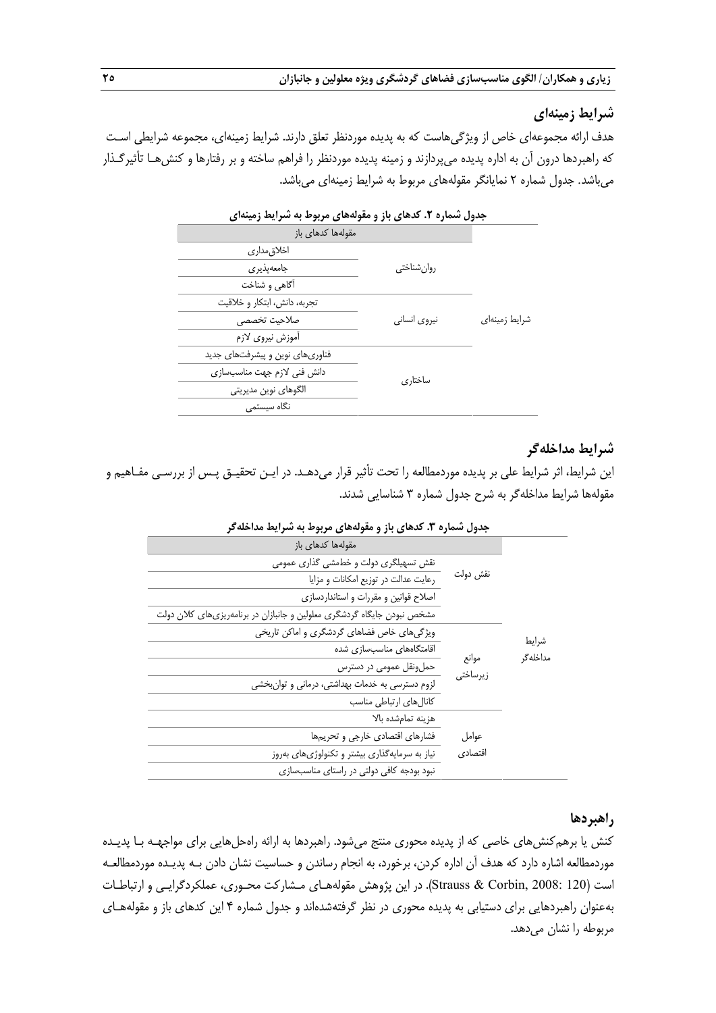## **شرايط زمينهاي**

هدف ارائه مجموعهاي خاص از ويژگيهاست كه به پديده موردنظر تعلق دارند. شرايط زمينهاي، مجموعه شرايطي اسـت كه راهبردها درون آن به اداره پديده ميپردازند و زمينه پديده موردنظر را فراهم ساخته و بر رفتارها و كنشهـا تأثيرگـذار ميباشد. جدول شماره 2 نمايانگر مقولههاي مربوط به شرايط زمينهاي ميباشد.

| جدول شماره ۳. کدهای باز و مفولههای مربوط به شرایط زمینهای |              |               |
|-----------------------------------------------------------|--------------|---------------|
| مقولهها كدهاى باز                                         |              |               |
| اخلاق مدار <i>ی</i>                                       | روانشناختی   |               |
| جامعەپذيرى                                                |              |               |
| آگاه <sub>ی</sub> و شناخت                                 |              |               |
| تجربه، دانش، ابتكار و خلاقيت                              | نیروی انسانی |               |
| صلاحيت تخصصى                                              |              | شرايط زمينهاى |
| أموزش نيروى لازم                                          |              |               |
| فناوریهای نوین و پیشرفتهای جدید                           |              |               |
| دانش فنی لازم جهت مناسبسازی                               | ساختارى      |               |
| الگوهای نوین مدیریتی                                      |              |               |
| نگاه سیستمی                                               |              |               |
|                                                           |              |               |

**جدول شماره .2 كدهاي باز و مقولههاي مربوط به شرايط زمينهاي** 

## **شرايط مداخلهگر**

اين شرايط، اثر شرايط علي بر پديده موردمطالعه را تحت تأثير قرار ميدهـد. در ايـن تحقيـق پـس از بررسـي مفـاهيم و مقولهها شرايط مداخلهگر به شرح جدول شماره 3 شناسايي شدند.

| جدول شماره ۳. کدهای باز و مقولههای مربوط به شرایط مداخلهگر |                               |  |
|------------------------------------------------------------|-------------------------------|--|
|                                                            |                               |  |
|                                                            |                               |  |
|                                                            |                               |  |
|                                                            |                               |  |
|                                                            |                               |  |
|                                                            |                               |  |
|                                                            | شرايط                         |  |
|                                                            | مداخلهگر                      |  |
|                                                            |                               |  |
|                                                            |                               |  |
|                                                            |                               |  |
| عوامل                                                      |                               |  |
| اقتصادي                                                    |                               |  |
|                                                            |                               |  |
|                                                            | نقش دولت<br>موانع<br>زيرساختى |  |

## **راهبردها**

كنش يا برهم كنشهاي خاصي كه از پديده محوري منتج ميشود. راهبردها به ارائه راهحلهايي براي مواجهـه بـا پديـده موردمطالعه اشاره دارد كه هدف آن اداره كردن، برخورد، به انجام رساندن و حساسيت نشان دادن بـه پديـده موردمطالعـه است (120 2008: ,Corbin & Strauss(. در اين پژوهش مقولههـاي مـشاركت محـوري، عملكردگرايـي و ارتباطـات بهعنوان راهبردهايي براي دستيابي به پديده محوري در نظر گرفته شدهاند و جدول شماره 4 اين كدهاي باز و مقولههـاي مربوطه را نشان ميدهد.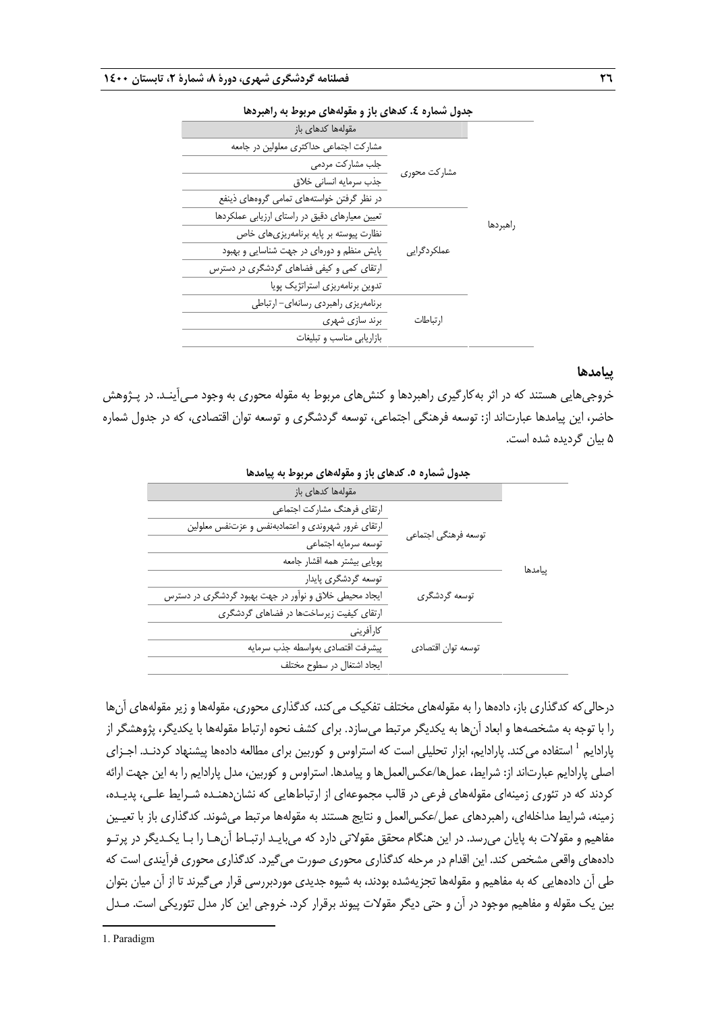| جدول شماره ٤. کدهای باز و معولههای مربوط به راهبردها |                   |                                                |  |
|------------------------------------------------------|-------------------|------------------------------------------------|--|
|                                                      | مقولهها كدهاى باز |                                                |  |
|                                                      |                   | مشارکت اجتماعی حداکثری معلولین در جامعه        |  |
|                                                      |                   | جلب مشاركت مردمى                               |  |
|                                                      | مشاركت محوري      | جذب سرمايه انسانى خلاق                         |  |
|                                                      |                   | در نظر گرفتن خواستههای تمامی گروههای ذینفع     |  |
|                                                      | عملکردگرایی       | تعیین معیارهای دقیق در راستای ارزیابی عملکردها |  |
| راهبردها                                             |                   | نظارت پیوسته بر پایه برنامهریزیهای خاص         |  |
|                                                      |                   | پایش منظم و دورهای در جهت شناسایی و بهبود      |  |
|                                                      |                   | ارتقای کمی و کیفی فضاهای گردشگری در دسترس      |  |
|                                                      |                   | تدوین برنامهریزی استراتژیک پویا                |  |
|                                                      | ار تباطات         | برنامەریزی راهبردی رسانەای– ارتباطی            |  |
|                                                      |                   | برند سازی شهری                                 |  |
|                                                      |                   | بازاريابي مناسب وتبليغات                       |  |

**جدول شماره .4 كدهاي باز و مقولههاي مربوط به راهبردها** 

#### **پيامدها**

خروجيهايي هستند كه در اثر بهكارگيري راهبردها و كنشهاي مربوط به مقوله محوري به وجود مـيآينـد. در پـژوهش حاضر، اين پيامدها عبارتاند از: توسعه فرهنگي اجتماعي، توسعه گردشگري و توسعه توان اقتصادي، كه در جدول شماره 5 بيان گرديده شده است.

|         |                      | جدون سماره ۶. تدهای باز و مقومههای مربوط به پیامدها    |
|---------|----------------------|--------------------------------------------------------|
|         |                      | مقولهها كدهاى باز                                      |
|         |                      | ارتقاى فرهنگ مشاركت اجتماعى                            |
|         | توسعه فرهنگي اجتماعي | ارتقای غرور شهروندی و اعتمادبهنفس و عزتنفس معلولین     |
|         |                      | توسعه سرمايه اجتماعي                                   |
|         |                      | پویایی بیشتر همه اقشار جامعه                           |
| ييامدها | توسعه گردشگری        | توسعه گردشگرى پايدار                                   |
|         |                      | ایجاد محیطی خلاق و نوآور در جهت بهبود گردشگری در دسترس |
|         |                      | ارتقای کیفیت زیرساختها در فضاهای گردشگری               |
|         | توسعه توان اقتصادى   | كارأفريني                                              |
|         |                      | پيشرفت اقتصادى بهواسطه جذب سرمايه                      |
|         |                      | ایجاد اشتغال در سطوح مختلف                             |
|         |                      |                                                        |

**جدول شماره .5 كدهاي باز و مقولههاي مربوط به پيامدها** 

درحاليكه كدگذاري باز، دادهها را به مقولههاي مختلف تفكيك ميكند، كدگذاري محوري، مقولهها و زير مقولههاي آنها را با توجه به مشخصهها و ابعاد آنها به يكديگر مرتبط ميسازد. براي كشف نحوه ارتباط مقولهها با يكديگر، پژوهشگر از پارادايم <sup>1</sup> استفاده مي كند. پارادايم، ابزار تحليلي است كه استراوس و كوربين براي مطالعه دادهها پيشنهاد كردنـد. اجـزاي اصلي پارادايم عبارتاند از: شرايط، عملها/عكسالعملها و پيامدها. استراوس و كوربين، مدل پارادايم را به اين جهت ارائه كردند كه در تئوري زمينهاي مقولههاي فرعي در قالب مجموعهاي از ارتباطهايي كه نشاندهنـده شـرايط علـي، پديـده، زمينه، شرايط مداخلهاي، راهبردهاي عمل/عكسالعمل و نتايج هستند به مقولهها مرتبط ميشوند. كدگذاري باز با تعيـين مفاهيم و مقولات به پايان ميرسد. در اين هنگام محقق مقولاتي دارد كه ميبايـد ارتبـاط آنهـا را بـا يكـديگر در پرتـو دادههاي واقعي مشخص كند. اين اقدام در مرحله كدگذاري محوري صورت ميگيرد. كدگذاري محوري فرآيندي است كه طي آن دادههايي كه به مفاهيم و مقولهها تجزيهشده بودند، به شيوه جديدي موردبررسي قرار ميگيرند تا از آن ميان بتوان بين يك مقوله و مفاهيم موجود در آن و حتي ديگر مقولات پيوند برقرار كرد. خروجي اين كار مدل تئوريكي است. مـدل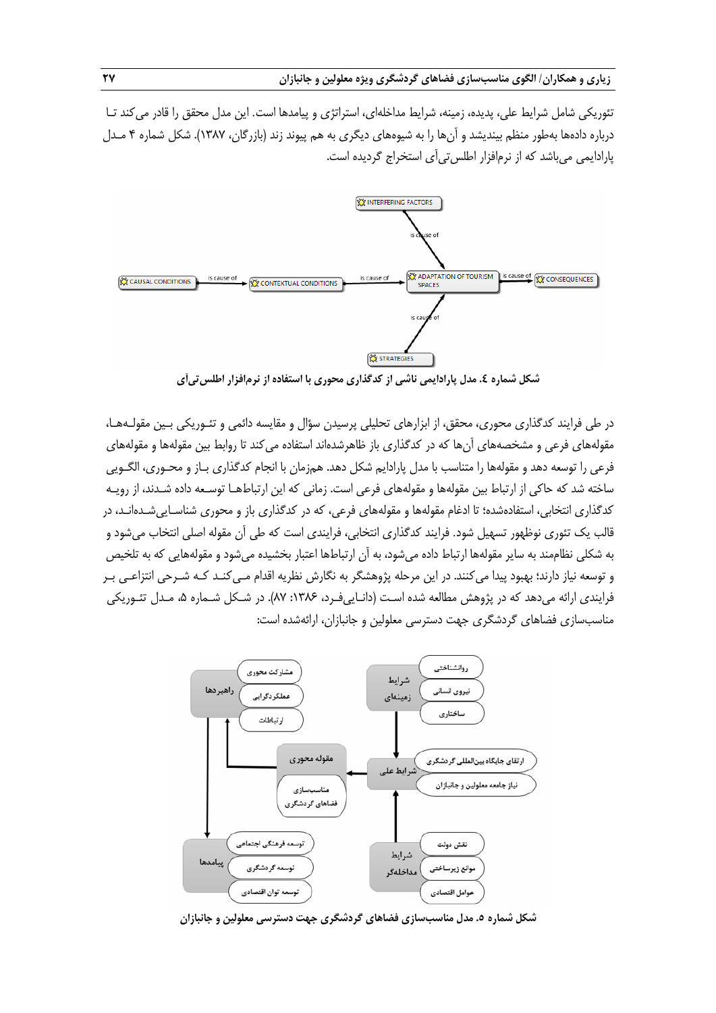تئوريكي شامل شرايط علي، پديده، زمينه، شرايط مداخلهاي، استراتژي و پيامدها است. اين مدل محقق را قادر ميكند تـا درباره دادهها بهطور منظم بينديشد و آنها را به شيوههاي ديگري به هم پيوند زند (بازرگان، 1387). شكل شماره 4 مـدل پارادايمي ميباشد كه از نرمافزار اطلستيآي استخراج گرديده است.



در طي فرايند كدگذاري محوري، محقق، از ابزارهاي تحليلي پرسيدن سؤال و مقايسه دائمي و تئـوريكي بـين مقولـههـا، مقولههاي فرعي و مشخصههاي آنها كه در كدگذاري باز ظاهرشدهاند استفاده ميكند تا روابط بين مقولهها و مقولههاي فرعي را توسعه دهد و مقولهها را متناسب با مدل پارادايم شكل دهد. همزمان با انجام كدگذاري بـاز و محـوري، الگـويي ساخته شد كه حاكي از ارتباط بين مقولهها و مقولههاي فرعي است. زماني كه اين ارتباطهـا توسـعه داده شـدند، از رويـه كدگذاري انتخابي، استفادهشده؛ تا ادغام مقولهها و مقولههاي فرعي، كه در كدگذاري باز و محوري شناسـاييشـدهانـد، در قالب يك تئوري نوظهور تسهيل شود. فرايند كدگذاري انتخابي، فرايندي است كه طي آن مقوله اصلي انتخاب ميشود و به شكلي نظاممند به ساير مقولهها ارتباط داده ميشود، به آن ارتباطها اعتبار بخشيده ميشود و مقولههايي كه به تلخيص و توسعه نياز دارند؛ بهبود پيدا ميكنند. در اين مرحله پژوهشگر به نگارش نظريه اقدام مـيكنـد كـه شـرحي انتزاعـي بـر فرايندي ارائه مي دهد كه در پژوهش مطالعه شده است (دانـاييفـرد، ١٣٨۶: ٨٧). در شـكل شـماره ۵، مـدل تئـوريكي مناسبسازي فضاهاي گردشگري جهت دسترسي معلولين و جانبازان، ارائهشده است:



**شكل شماره .5 مدل مناسبسازي فضاهاي گردشگري جهت دسترسي معلولين <sup>و</sup> جانبازان**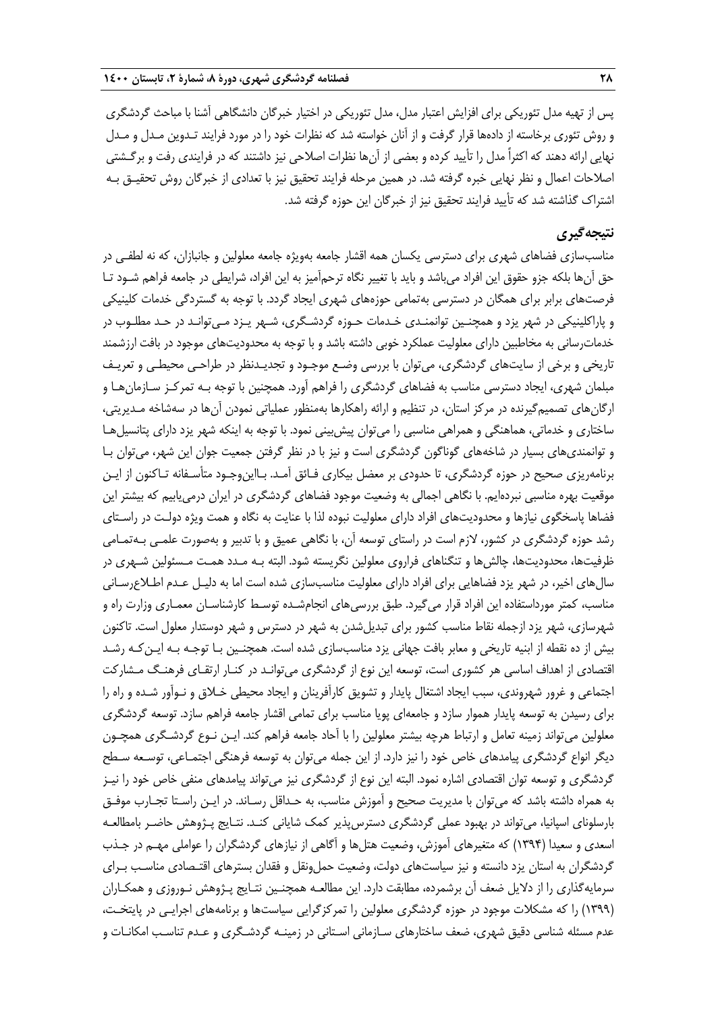پس از تهيه مدل تئوريكي براي افزايش اعتبار مدل، مدل تئوريكي در اختيار خبرگان دانشگاهي آشنا با مباحث گردشگري و روش تئوري برخاسته از دادهها قرار گرفت و از آنان خواسته شد كه نظرات خود را در مورد فرايند تـدوين مـدل و مـدل نهايي ارائه دهند كه اكثراً مدل را تأييد كرده و بعضي از آنها نظرات اصلاحي نيز داشتند كه در فرايندي رفت و برگـشتي اصلاحات اعمال و نظر نهايي خبره گرفته شد. در همين مرحله فرايند تحقيق نيز با تعدادي از خبرگان روش تحقيـق بـه اشتراك گذاشته شد كه تأييد فرايند تحقيق نيز از خبرگان اين حوزه گرفته شد.

# **نتيجهگيري**

مناسبسازي فضاهاي شهري براي دسترسي يكسان همه اقشار جامعه بهويژه جامعه معلولين و جانبازان، كه نه لطفـي در حق آنها بلكه جزو حقوق اين افراد ميباشد و بايد با تغيير نگاه ترحمآميز به اين افراد، شرايطي در جامعه فراهم شـود تـا فرصتهاي برابر براي همگان در دسترسي بهتمامي حوزههاي شهري ايجاد گردد. با توجه به گستردگي خدمات كلينيكي و پاراكلينيكي در شهر يزد و همچنـين توانمنـدي خـدمات حـوزه گردشـگري، شـهر يـزد مـي توانـد در حـد مطلـوب در خدماترساني به مخاطبين داراي معلوليت عملكرد خوبي داشته باشد و با توجه به محدوديتهاي موجود در بافت ارزشمند تاريخي و برخي از سايتهاي گردشگري، ميتوان با بررسي وضـع موجـود و تجديـدنظر در طراحـي محيطـي و تعريـف مبلمان شهري، ايجاد دسترسي مناسب به فضاهاي گردشگري را فراهم آورد. همچنين با توجه بـه تمركـز سـازمان هـا و ارگانهاي تصميمگيرنده در مركز استان، در تنظيم و ارائه راهكارها بهمنظور عملياتي نمودن آنها در سهشاخه مـديريتي، ساختاري و خدماتي، هماهنگي و همراهي مناسبي را ميتوان پيشبيني نمود. با توجه به اينكه شهر يزد داراي پتانسيلهـا و توانمنديهاي بسيار در شاخههاي گوناگون گردشگري است و نيز با در نظر گرفتن جمعيت جوان اين شهر، ميتوان بـا برنامهريزي صحيح در حوزه گردشگري، تا حدودي بر معضل بيكاري فـائق آمـد . بـااينوجـود متأسـفانه تـاكنون از ايـن موقعيت بهره مناسبي نبردهايم. با نگاهي اجمالي به وضعيت موجود فضاهاي گردشگري در ايران درمييابيم كه بيشتر اين فضاها پاسخگوي نيازها و محدوديتهاي افراد داراي معلوليت نبوده لذا با عنايت به نگاه و همت ويژه دولـت در راسـتاي رشد حوزه گردشگري در كشور، لازم است در راستاي توسعه آن، با نگاهي عميق و با تدبير و بهصورت علمـي بـهتمـامي ظرفيتها، محدوديتها، چالشها و تنگناهاي فراروي معلولين نگريسته شود. البته بـه مـدد همـت مـسئولين شـهري در سالهاي اخير، در شهر يزد فضاهايي براي افراد داراي معلوليت مناسب سازي شده است اما به دليـل عـدم اطـلاع رسـاني مناسب، كمتر مورداستفاده اين افراد قرار ميگيرد. طبق بررسيهاي انجامشـده توسـط كارشناسـان معمـاري وزارت راه و شهرسازي، شهر يزد ازجمله نقاط مناسب كشور براي تبديلشدن به شهر در دسترس و شهر دوستدار معلول است. تاكنون بيش از ده نقطه از ابنيه تاريخي و معابر بافت جهاني يزد مناسبسازي شده است. همچنـين بـا توجـه بـه ايـن كـه رشـد اقتصادي از اهداف اساسي هر كشوري است، توسعه اين نوع از گردشگري ميتوانـد در كنـار ارتقـاي فرهنـگ مـشاركت اجتماعي و غرور شهروندي، سبب ايجاد اشتغال پايدار و تشويق كارآفرينان و ايجاد محيطي خـلاق و نـوآور شـده و راه را براي رسيدن به توسعه پايدار هموار سازد و جامعهاي پويا مناسب براي تمامي اقشار جامعه فراهم سازد. توسعه گردشگري معلولين ميتواند زمينه تعامل و ارتباط هرچه بيشتر معلولين را با آحاد جامعه فراهم كند. ايـن نـوع گردشـگري همچـون ديگر انواع گردشگري پيامدهاي خاص خود را نيز دارد. از اين جمله ميتوان به توسعه فرهنگي اجتمـاعي، توسـعه سـطح گردشگري و توسعه توان اقتصادي اشاره نمود. البته اين نوع از گردشگري نيز ميتواند پيامدهاي منفي خاص خود را نيـز به همراه داشته باشد كه ميتوان با مديريت صحيح و آموزش مناسب، به حـداقل رسـاند . در ايـن راسـتا تجـارب موفـق بارسلوناي اسپانيا، ميتواند در بهبود عملي گردشگري دسترسپذير كمك شاياني كنـد. نتـايج پـژوهش حاضـر بامطالعـه اسعدي و سعيدا (1394) كه متغيرهاي آموزش، وضعيت هتلها و آگاهي از نيازهاي گردشگران را عواملي مهـم در جـذب گردشگران به استان يزد دانسته و نيز سياستهاي دولت، وضعيت حملونقل و فقدان بسترهاي اقتـصادي مناسـب بـراي سرمايهگذاري را از دلايل ضعف آن برشمرده، مطابقت دارد. اين مطالعـه همچنـين نتـايج پـژوهش نـوروزي و همكـاران (1399) را كه مشكلات موجود در حوزه گردشگري معلولين را تمركزگرايي سياستها و برنامههاي اجرايـي در پايتخـت، عدم مسئله شناسي دقيق شهري، ضعف ساختارهاي سـازماني اسـتاني در زمينـه گردشـگري و عـدم تناسـب امكانـات و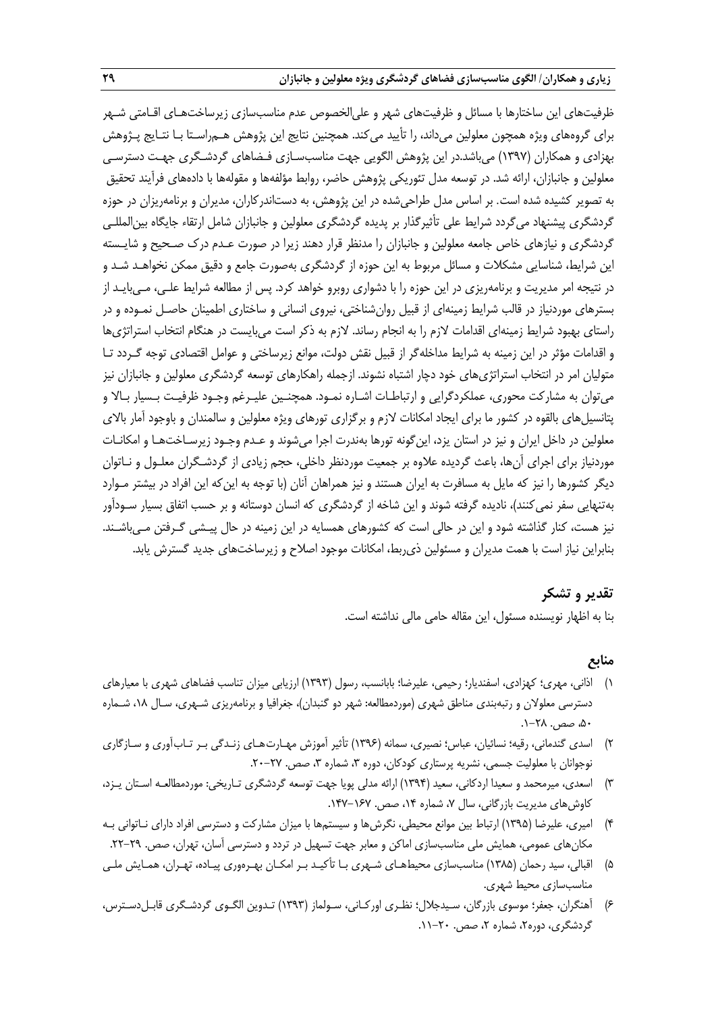ظرفيتهاي اين ساختارها با مسائل و ظرفيتهاي شهر و عليالخصوص عدم مناسبسازي زيرساختهـاي اقـامتي شـهر براي گروههاي ويژه همچون معلولين ميداند، را تأييد ميكند. همچنين نتايج اين پژوهش هـمراسـتا بـا نتـايج پـژوهش بهزادي و همكاران (1397) ميباشد.در اين پژوهش الگويي جهت مناسبسـازي فـضاهاي گردشـگري جهـت دسترسـي معلولين و جانبازان، ارائه شد. در توسعه مدل تئوريكي پژوهش حاضر، روابط مؤلفهها و مقولهها با دادههاي فرآيند تحقيق به تصوير كشيده شده است. بر اساس مدل طراحيشده در اين پژوهش، به دستاندركاران، مديران و برنامهريزان در حوزه گردشگري پيشنهاد ميگردد شرايط علي تأثيرگذار بر پديده گردشگري معلولين و جانبازان شامل ارتقاء جايگاه بينالمللـي گردشگري و نيازهاي خاص جامعه معلولين و جانبازان را مدنظر قرار دهند زيرا در صورت عـدم درك صـحيح و شايـسته اين شرايط، شناسايي مشكلات و مسائل مربوط به اين حوزه از گردشگري به صورت جامع و دقيق ممكن نخواهـد شـد و در نتيجه امر مديريت و برنامهريزي در اين حوزه را با دشواري روبرو خواهد كرد . پس از مطالعه شرايط علـي، مـيبايـد از بسترهاي موردنياز در قالب شرايط زمينهاي از قبيل روانشناختي، نيروي انساني و ساختاري اطمينان حاصـل نمـوده و در راستاي بهبود شرايط زمينهاي اقدامات لازم را به انجام رساند. لازم به ذكر است ميبايست در هنگام انتخاب استراتژيها و اقدامات مؤثر در اين زمينه به شرايط مداخلهگر از قبيل نقش دولت، موانع زيرساختي و عوامل اقتصادي توجه گـردد تـا متوليان امر در انتخاب استراتژيهاي خود دچار اشتباه نشوند. ازجمله راهكارهاي توسعه گردشگري معلولين و جانبازان نيز ميتوان به مشاركت محوري، عملكردگرايي و ارتباطـات اشـاره نمـود . همچنـين عليـرغم وجـود ظرفيـت بـسيار بـالا و پتانسيلهاي بالقوه در كشور ما براي ايجاد امكانات لازم و برگزاري تورهاي ويژه معلولين و سالمندان و باوجود آمار بالاي معلولين در داخل ايران و نيز در استان يزد، اين گونه تورها بهندرت اجرا ميشوند و عـدم وجـود زيرسـاختهـا و امكانـات موردنياز براي اجراي آنها، باعث گرديده علاوه بر جمعيت موردنظر داخلي، حجم زيادي از گردشـگران معلـول و نـاتوان ديگر كشورها را نيز كه مايل به مسافرت به ايران هستند و نيز همراهان آنان (با توجه به اينكه اين افراد در بيشتر مـوارد بهتنهايي سفر نميكنند)، ناديده گرفته شوند و اين شاخه از گردشگري كه انسان دوستانه و بر حسب اتفاق بسيار سـودآور نيز هست، كنار گذاشته شود و اين در حالي است كه كشورهاي همسايه در اين زمينه در حال پيـشي گـرفتن مـيباشـند. بنابراين نياز است با همت مديران و مسئولين ذيربط، امكانات موجود اصلاح و زيرساختهاي جديد گسترش يابد.

## **تقدير و تشكر**

بنا به اظهار نويسنده مسئول، اين مقاله حامي مالي نداشته است.

## **منابع**

- 1) اذاني، مهري؛ كهزادي، اسفنديار؛ رحيمي، عليرضا؛ بابانسب، رسول (1393) ارزيابي ميزان تناسب فضاهاي شهري با معيارهاي دسترسي معلولان و رتبهبندي مناطق شهري (موردمطالعه: شهر دو گنبدان)، جغرافيا و برنامهريزي شـهري، سـال ،18 شـماره ،50 صص. .1-28
- 2) اسدي گندماني، رقيه؛ نسائيان، عباس؛ نصيري، سمانه (1396) تأثير آموزش مهـارتهـاي زنـدگي بـر تـابآوري و سـازگاري نوجوانان با معلوليت جسمي، نشريه پرستاري كودكان، دوره ٣، شماره ٣، صص. ٢٧-٢٠.
- 3) اسعدي، ميرمحمد و سعيدا اردكاني، سعيد (1394) ارائه مدلي پويا جهت توسعه گردشگري تـاريخي: موردمطالعـه اسـتان يـزد، كاوش هاي مديريت بازرگاني، سال ٧، شماره ١۴، صص. ١٤٧-١٤٧.
- 4) اميري، عليرضا (1395) ارتباط بين موانع محيطي، نگرشها و سيستمها با ميزان مشاركت و دسترسي افراد داراي نـاتواني بـه مكانهاي عمومي، همايش ملي مناسبسازي اماكن و معابر جهت تسهيل در تردد و دسترسي آسان، تهران، صص. .22-29
- 5) اقبالي، سيد رحمان (1385) مناسبسازي محيطهـاي شـهري بـا تأكيـد بـر امكـان بهـرهوري پيـاده، تهـران، همـايش ملـي مناسبسازي محيط شهري.
- 6) آهنگران، جعفر؛ موسوي بازرگان، سـيدجلال؛ نظـري اوركـاني، سـولماز (1393) تـدوين الگـوي گردشـگري قابـلدسـترس، گردشگري، دوره۲، شماره ۲، صص. ۲۰-۱۱.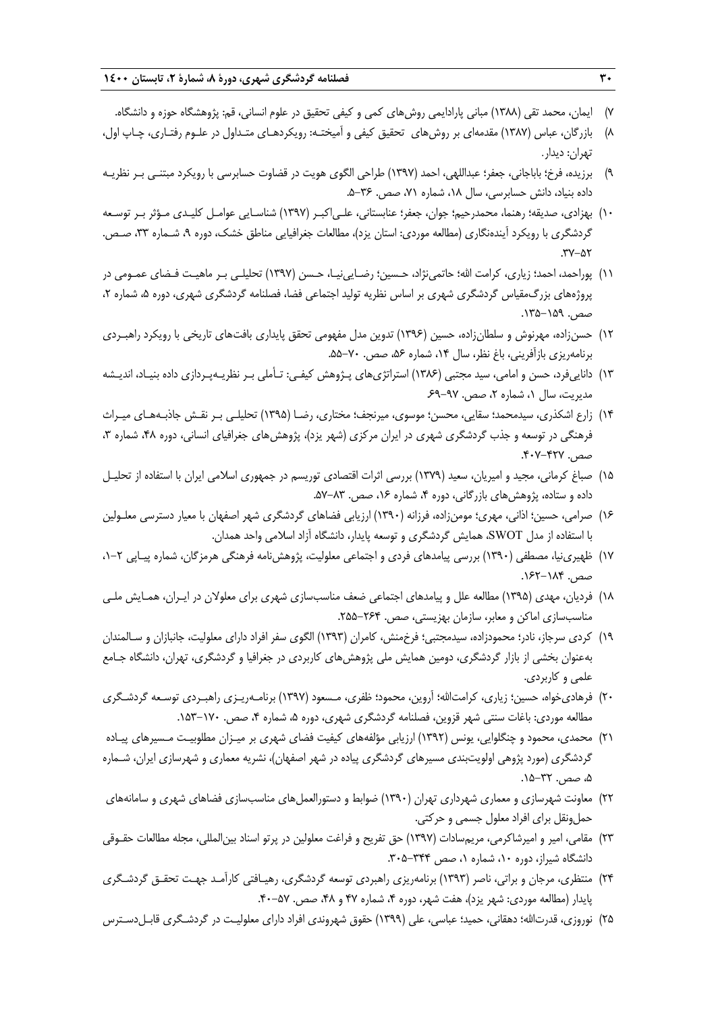- 7) ايمان، محمد تقي (1388) مباني پارادايمي روشهاي كمي و كيفي تحقيق در علوم انساني، قم: پژوهشگاه حوزه و دانشگاه.
- 8) بازرگان، عباس (1387) مقدمهاي بر روشهاي تحقيق كيفي و آميختـه: رويكردهـاي متـداول در علـوم رفتـاري، چـاپ اول، تهران: ديدار.
- 9) برزيده، فرخ؛ باباجاني، جعفر؛ عبداللهي، احمد (1397) طراحي الگوي هويت در قضاوت حسابرسي با رويكرد مبتنـي بـر نظريـه داده بنياد، دانش حسابرسي، سال ،18 شماره ،71 صص. .5-36
- 10) بهزادي، صديقه؛ رهنما، محمدرحيم؛ جوان، جعفر؛ عنابستاني، علـياكبـر (1397) شناسـايي عوامـل كليـدي مـؤثر بـر توسـعه گردشگري با رويكرد آيندهنگاري (مطالعه موردي: استان يزد)، مطالعات جغرافيايي مناطق خشك، دوره ،9 شـماره ،33 صـص.  $.77 - 07$
- 11) پوراحمد، احمد؛ زياري، كرامت االله؛ حاتمينژاد، حـسين؛ رضـايينيـا، حـسن (1397) تحليلـي بـر ماهيـت فـضاي عمـومي در پروژههاي بزرگ0قياس گردشگري شهري بر اساس نظريه توليد اجتماعي فضا، فصلنامه گردشگري شهري، دوره ۵، شماره ۲، صص. .135-159
- 12) حسنزاده، مهرنوش و سلطانزاده، حسين (1396) تدوين مدل مفهومي تحقق پايداري بافتهاي تاريخي با رويكرد راهبـردي برنامهريزي بازآفريني، باغ نظر، سال ۱۴، شماره ۵۶، صص. ۷۰–۵۵.
- 13) داناييفرد، حسن و امامي، سيد مجتبي (1386) استراتژيهاي پـژوهش كيفـي: تـأملي بـر نظريـهپـردازي داده بنيـاد، انديـشه مديريت، سال ،1 شماره ،2 صص. .69-97
- 14) زارع اشكذري، سيدمحمد؛ سقايي، محسن؛ موسوي، ميرنجف؛ مختاري، رضـا (1395) تحليلـي بـر نقـش جاذبـههـاي ميـراث فرهنگي در توسعه و جذب گردشگري شهري در ايران مركزي (شهر يزد)، پژوهش هاي جغرافياي انساني، دوره ۴۸، شماره ۳، صص. .407-427
- 15) صباغ كرماني، مجيد و اميريان، سعيد (1379) بررسي اثرات اقتصادي توريسم در جمهوري اسلامي ايران با استفاده از تحليـل داده و ستاده، پژوهش هاي بازرگاني، دوره ۴، شماره ۱۶، صص. ۸۳–۵۷.
- 16) صرامي، حسين؛ اذاني، مهري؛ مومنزاده، فرزانه (1390) ارزيابي فضاهاي گردشگري شهر اصفهان با معيار دسترسي معلـولين با استفاده از مدل SWOT، همايش گردشگري و توسعه پايدار، دانشگاه آزاد اسلامي واحد همدان.
- 17) ظهيرينيا، مصطفي (1390) بررسي پيامدهاي فردي و اجتماعي معلوليت، پژوهشنامه فرهنگي هرمزگان، شماره پيـاپي ،1-2 صص. .162-184
- 18) فرديان، مهدي (1395) مطالعه علل و پيامدهاي اجتماعي ضعف مناسبسازي شهري براي معلولان در ايـران، همـايش ملـي مناسبسازي اماكن و معابر، سازمان بهزيستي، صص. ۲۶۴–۲۵۵.
- 19) كردي سرجاز، نادر؛ محمودزاده، سيدمجتبي؛ فرخمنش، كامران (1393) الگوي سفر افراد داراي معلوليت، جانبازان و سـالمندان بهعنوان بخشي از بازار گردشگري، دومين همايش ملي پژوهشهاي كاربردي در جغرافيا و گردشگري، تهران، دانشگاه جـامع علمي و كاربردي.
- 20) فرهاديخواه، حسين؛ زياري، كرامتاالله؛ آروين، محمود؛ ظفري، مـسعود (1397) برنامـهريـزي راهبـردي توسـعه گردشـگري مطالعه موردي: باغات سنتي شهر قزوين، فصلنامه گردشگري شهري، دوره ۵، شماره ۴، صص. ۱۷۰–۱۵۳.
- 21) محمدي، محمود و چنگلوايي، يونس (1392) ارزيابي مؤلفههاي كيفيت فضاي شهري بر ميـزان مطلوبيـت مـسيرهاي پيـاده گردشگري (مورد پژوهي اولويتبندي مسيرهاي گردشگري پياده در شهر اصفهان)، نشريه معماري و شهرسازي ايران، شـماره ۵، صص. ۳۲-۱۵.
- 22) معاونت شهرسازي و معماري شهرداري تهران (1390) ضوابط و دستورالعملهاي مناسبسازي فضاهاي شهري و سامانههاي حملونقل براي افراد معلول جسمي و حركتي.
- 23) مقامي، امير و اميرشاكرمي، مريمسادات (1397) حق تفريح و فراغت معلولين در پرتو اسناد بينالمللي، مجله مطالعات حقـوقي دانشگاه شيراز، دوره ،10 شماره ،1 صص .305-344
- 24) منتظري، مرجان و براتي، ناصر (1393) برنامهريزي راهبردي توسعه گردشگري، رهيـافتي كارآمـد جهـت تحقـق گردشـگري پايدار (مطالعه موردي: شهر يزد)، هفت شهر، دوره ۴، شماره ۴۷ و ۴۸، صص. ۵۷-۴۰.
- 25) نوروزي، قدرتاالله؛ دهقاني، حميد؛ عباسي، علي (1399) حقوق شهروندي افراد داراي معلوليـت در گردشـگري قابـلدسـترس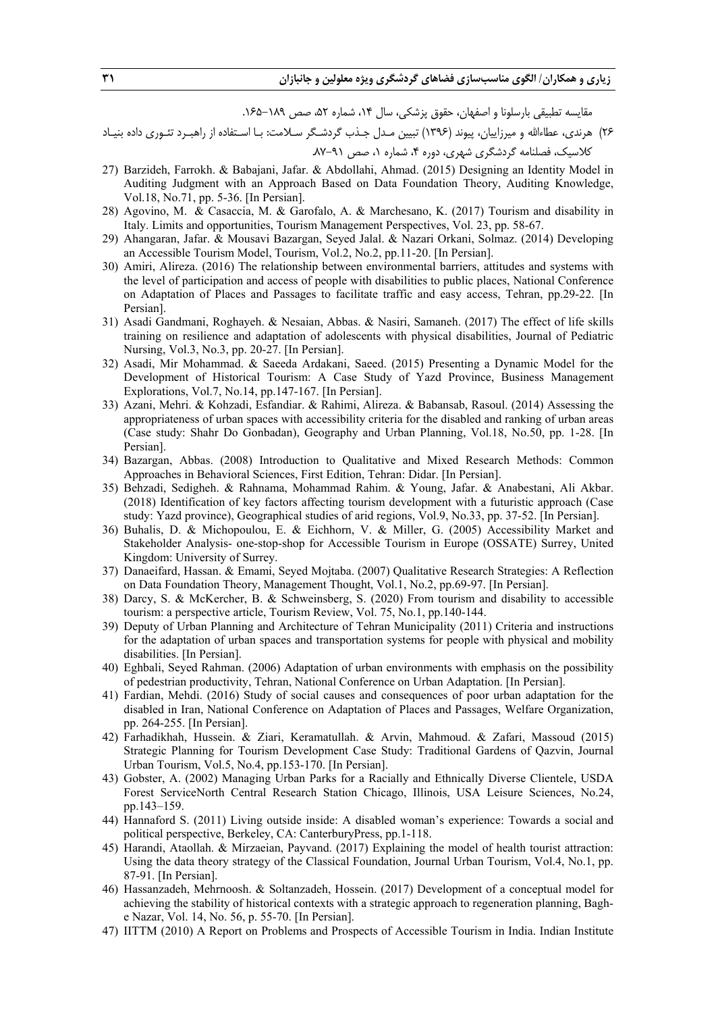مقايسه تطبيقي بارسلونا و اصفهان، حقوق پزشكي، سال ۱۴، شماره ۵۲، صص ۱۸۹–۱۶۵.

- 26) هرندي، عطاءاالله و ميرزاييان، پيوند (1396) تبيين مـدل جـذب گردشـگر سـلامت: بـا اسـتفاده از راهبـرد تئـوري داده بنيـاد كلاسيك، فصلنامه گردشگري شهري، دوره ۴، شماره ۱، صص ۹۱–۸۷.
- 27) Barzideh, Farrokh. & Babajani, Jafar. & Abdollahi, Ahmad. (2015) Designing an Identity Model in Auditing Judgment with an Approach Based on Data Foundation Theory, Auditing Knowledge, Vol.18, No.71, pp. 5-36. [In Persian].
- 28) Agovino, M. & Casaccia, M. & Garofalo, A. & Marchesano, K. (2017) Tourism and disability in Italy. Limits and opportunities, Tourism Management Perspectives, Vol. 23, pp. 58-67.
- 29) Ahangaran, Jafar. & Mousavi Bazargan, Seyed Jalal. & Nazari Orkani, Solmaz. (2014) Developing an Accessible Tourism Model, Tourism, Vol.2, No.2, pp.11-20. [In Persian].
- 30) Amiri, Alireza. (2016) The relationship between environmental barriers, attitudes and systems with the level of participation and access of people with disabilities to public places, National Conference on Adaptation of Places and Passages to facilitate traffic and easy access, Tehran, pp.29-22. [In Persian].
- 31) Asadi Gandmani, Roghayeh. & Nesaian, Abbas. & Nasiri, Samaneh. (2017) The effect of life skills training on resilience and adaptation of adolescents with physical disabilities, Journal of Pediatric Nursing, Vol.3, No.3, pp. 20-27. [In Persian].
- 32) Asadi, Mir Mohammad. & Saeeda Ardakani, Saeed. (2015) Presenting a Dynamic Model for the Development of Historical Tourism: A Case Study of Yazd Province, Business Management Explorations, Vol.7, No.14, pp.147-167. [In Persian].
- 33) Azani, Mehri. & Kohzadi, Esfandiar. & Rahimi, Alireza. & Babansab, Rasoul. (2014) Assessing the appropriateness of urban spaces with accessibility criteria for the disabled and ranking of urban areas (Case study: Shahr Do Gonbadan), Geography and Urban Planning, Vol.18, No.50, pp. 1-28. [In Persian].
- 34) Bazargan, Abbas. (2008) Introduction to Qualitative and Mixed Research Methods: Common Approaches in Behavioral Sciences, First Edition, Tehran: Didar. [In Persian].
- 35) Behzadi, Sedigheh. & Rahnama, Mohammad Rahim. & Young, Jafar. & Anabestani, Ali Akbar. (2018) Identification of key factors affecting tourism development with a futuristic approach (Case study: Yazd province), Geographical studies of arid regions, Vol.9, No.33, pp. 37-52. [In Persian].
- 36) Buhalis, D. & Michopoulou, E. & Eichhorn, V. & Miller, G. (2005) Accessibility Market and Stakeholder Analysis- one-stop-shop for Accessible Tourism in Europe (OSSATE) Surrey, United Kingdom: University of Surrey.
- 37) Danaeifard, Hassan. & Emami, Seyed Mojtaba. (2007) Qualitative Research Strategies: A Reflection on Data Foundation Theory, Management Thought, Vol.1, No.2, pp.69-97. [In Persian].
- 38) Darcy, S. & McKercher, B. & Schweinsberg, S. (2020) From tourism and disability to accessible tourism: a perspective article, Tourism Review, Vol. 75, No.1, pp.140-144.
- 39) Deputy of Urban Planning and Architecture of Tehran Municipality (2011) Criteria and instructions for the adaptation of urban spaces and transportation systems for people with physical and mobility disabilities. [In Persian].
- 40) Eghbali, Seyed Rahman. (2006) Adaptation of urban environments with emphasis on the possibility of pedestrian productivity, Tehran, National Conference on Urban Adaptation. [In Persian].
- 41) Fardian, Mehdi. (2016) Study of social causes and consequences of poor urban adaptation for the disabled in Iran, National Conference on Adaptation of Places and Passages, Welfare Organization, pp. 264-255. [In Persian].
- 42) Farhadikhah, Hussein. & Ziari, Keramatullah. & Arvin, Mahmoud. & Zafari, Massoud (2015) Strategic Planning for Tourism Development Case Study: Traditional Gardens of Qazvin, Journal Urban Tourism, Vol.5, No.4, pp.153-170. [In Persian].
- 43) Gobster, A. (2002) Managing Urban Parks for a Racially and Ethnically Diverse Clientele, USDA Forest ServiceNorth Central Research Station Chicago, Illinois, USA Leisure Sciences, No.24, pp.143–159.
- 44) Hannaford S. (2011) Living outside inside: A disabled woman's experience: Towards a social and political perspective, Berkeley, CA: CanterburyPress, pp.1-118.
- 45) Harandi, Ataollah. & Mirzaeian, Payvand. (2017) Explaining the model of health tourist attraction: Using the data theory strategy of the Classical Foundation, Journal Urban Tourism, Vol.4, No.1, pp. 87-91. [In Persian].
- 46) Hassanzadeh, Mehrnoosh. & Soltanzadeh, Hossein. (2017) Development of a conceptual model for achieving the stability of historical contexts with a strategic approach to regeneration planning, Baghe Nazar, Vol. 14, No. 56, p. 55-70. [In Persian].
- 47) IITTM (2010) A Report on Problems and Prospects of Accessible Tourism in India. Indian Institute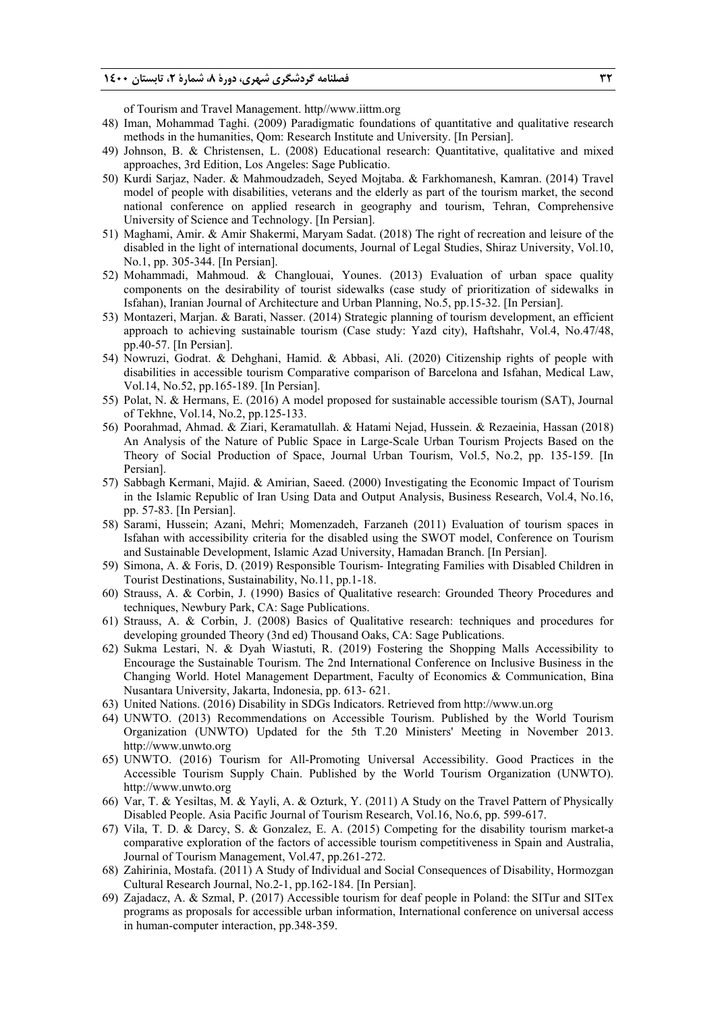of Tourism and Travel Management. http//www.iittm.org

- 48) Iman, Mohammad Taghi. (2009) Paradigmatic foundations of quantitative and qualitative research methods in the humanities, Qom: Research Institute and University. [In Persian].
- 49) Johnson, B. & Christensen, L. (2008) Educational research: Quantitative, qualitative and mixed approaches, 3rd Edition, Los Angeles: Sage Publicatio.
- 50) Kurdi Sarjaz, Nader. & Mahmoudzadeh, Seyed Mojtaba. & Farkhomanesh, Kamran. (2014) Travel model of people with disabilities, veterans and the elderly as part of the tourism market, the second national conference on applied research in geography and tourism, Tehran, Comprehensive University of Science and Technology. [In Persian].
- 51) Maghami, Amir. & Amir Shakermi, Maryam Sadat. (2018) The right of recreation and leisure of the disabled in the light of international documents, Journal of Legal Studies, Shiraz University, Vol.10, No.1, pp. 305-344. [In Persian].
- 52) Mohammadi, Mahmoud. & Changlouai, Younes. (2013) Evaluation of urban space quality components on the desirability of tourist sidewalks (case study of prioritization of sidewalks in Isfahan), Iranian Journal of Architecture and Urban Planning, No.5, pp.15-32. [In Persian].
- 53) Montazeri, Marjan. & Barati, Nasser. (2014) Strategic planning of tourism development, an efficient approach to achieving sustainable tourism (Case study: Yazd city), Haftshahr, Vol.4, No.47/48, pp.40-57. [In Persian].
- 54) Nowruzi, Godrat. & Dehghani, Hamid. & Abbasi, Ali. (2020) Citizenship rights of people with disabilities in accessible tourism Comparative comparison of Barcelona and Isfahan, Medical Law, Vol.14, No.52, pp.165-189. [In Persian].
- 55) Polat, N. & Hermans, E. (2016) A model proposed for sustainable accessible tourism (SAT), Journal of Tekhne, Vol.14, No.2, pp.125-133.
- 56) Poorahmad, Ahmad. & Ziari, Keramatullah. & Hatami Nejad, Hussein. & Rezaeinia, Hassan (2018) An Analysis of the Nature of Public Space in Large-Scale Urban Tourism Projects Based on the Theory of Social Production of Space, Journal Urban Tourism, Vol.5, No.2, pp. 135-159. [In Persian].
- 57) Sabbagh Kermani, Majid. & Amirian, Saeed. (2000) Investigating the Economic Impact of Tourism in the Islamic Republic of Iran Using Data and Output Analysis, Business Research, Vol.4, No.16, pp. 57-83. [In Persian].
- 58) Sarami, Hussein; Azani, Mehri; Momenzadeh, Farzaneh (2011) Evaluation of tourism spaces in Isfahan with accessibility criteria for the disabled using the SWOT model, Conference on Tourism and Sustainable Development, Islamic Azad University, Hamadan Branch. [In Persian].
- 59) Simona, A. & Foris, D. (2019) Responsible Tourism- Integrating Families with Disabled Children in Tourist Destinations, Sustainability, No.11, pp.1-18.
- 60) Strauss, A. & Corbin, J. (1990) Basics of Qualitative research: Grounded Theory Procedures and techniques, Newbury Park, CA: Sage Publications.
- 61) Strauss, A. & Corbin, J. (2008) Basics of Qualitative research: techniques and procedures for developing grounded Theory (3nd ed) Thousand Oaks, CA: Sage Publications.
- 62) Sukma Lestari, N. & Dyah Wiastuti, R. (2019) Fostering the Shopping Malls Accessibility to Encourage the Sustainable Tourism. The 2nd International Conference on Inclusive Business in the Changing World. Hotel Management Department, Faculty of Economics & Communication, Bina Nusantara University, Jakarta, Indonesia, pp. 613- 621.
- 63) United Nations. (2016) Disability in SDGs Indicators. Retrieved from http://www.un.org
- 64) UNWTO. (2013) Recommendations on Accessible Tourism. Published by the World Tourism Organization (UNWTO) Updated for the 5th T.20 Ministers' Meeting in November 2013. http://www.unwto.org
- 65) UNWTO. (2016) Tourism for All-Promoting Universal Accessibility. Good Practices in the Accessible Tourism Supply Chain. Published by the World Tourism Organization (UNWTO). http://www.unwto.org
- 66) Var, T. & Yesiltas, M. & Yayli, A. & Ozturk, Y. (2011) A Study on the Travel Pattern of Physically Disabled People. Asia Pacific Journal of Tourism Research, Vol.16, No.6, pp. 599-617.
- 67) Vila, T. D. & Darcy, S. & Gonzalez, E. A. (2015) Competing for the disability tourism market-a comparative exploration of the factors of accessible tourism competitiveness in Spain and Australia, Journal of Tourism Management, Vol.47, pp.261-272.
- 68) Zahirinia, Mostafa. (2011) A Study of Individual and Social Consequences of Disability, Hormozgan Cultural Research Journal, No.2-1, pp.162-184. [In Persian].
- 69) Zajadacz, A. & Szmal, P. (2017) Accessible tourism for deaf people in Poland: the SITur and SITex programs as proposals for accessible urban information, International conference on universal access in human-computer interaction, pp.348-359.